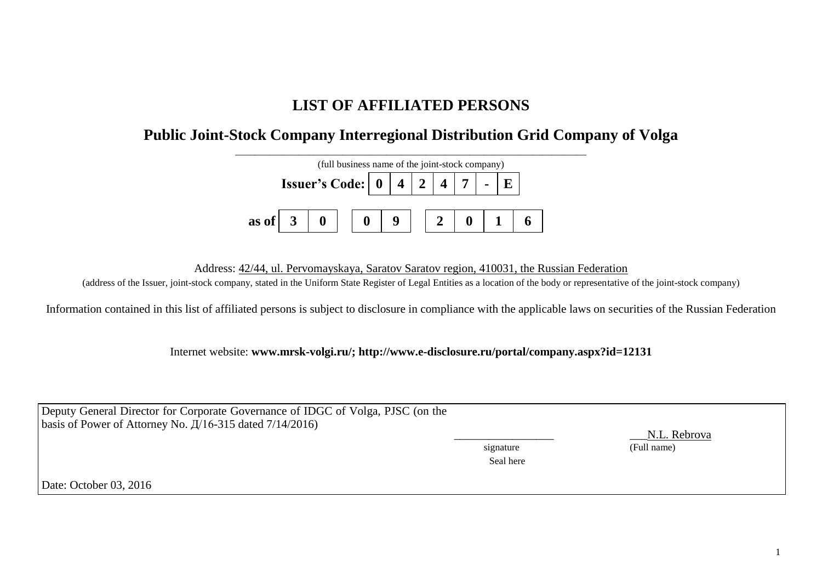## **LIST OF AFFILIATED PERSONS**

## **Public Joint-Stock Company Interregional Distribution Grid Company of Volga**



Address: 42/44, ul. Pervomayskaya, Saratov Saratov region, 410031, the Russian Federation

(address of the Issuer, joint-stock company, stated in the Uniform State Register of Legal Entities as a location of the body or representative of the joint-stock company)

Information contained in this list of affiliated persons is subject to disclosure in compliance with the applicable laws on securities of the Russian Federation

Internet website: **www.mrsk-volgi.ru/; http://www.e-disclosure.ru/portal/company.aspx?id=12131**

| Deputy General Director for Corporate Governance of IDGC of Volga, PJSC (on the<br>basis of Power of Attorney No. $\frac{\pi}{16}$ -315 dated 7/14/2016) |           | N.L. Rebrova |
|----------------------------------------------------------------------------------------------------------------------------------------------------------|-----------|--------------|
|                                                                                                                                                          | signature | (Full name)  |
|                                                                                                                                                          | Seal here |              |
| Date: October 03, 2016                                                                                                                                   |           |              |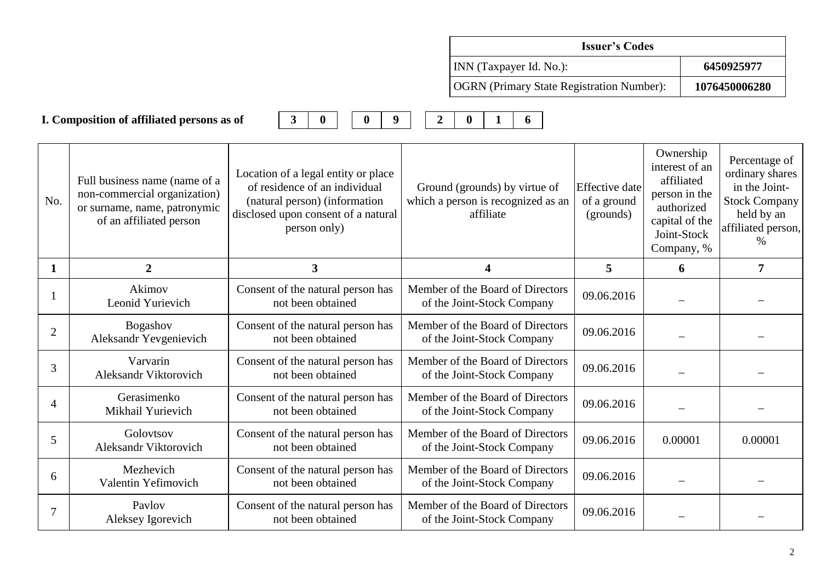|                |                                                                                                                          |                                                                                                                                                              |                  |                                                                                  | <b>Issuer's Codes</b>                             |                                                                                                                         |                                                                                                                       |
|----------------|--------------------------------------------------------------------------------------------------------------------------|--------------------------------------------------------------------------------------------------------------------------------------------------------------|------------------|----------------------------------------------------------------------------------|---------------------------------------------------|-------------------------------------------------------------------------------------------------------------------------|-----------------------------------------------------------------------------------------------------------------------|
|                |                                                                                                                          |                                                                                                                                                              |                  | INN (Taxpayer Id. No.):                                                          |                                                   |                                                                                                                         | 6450925977                                                                                                            |
|                |                                                                                                                          |                                                                                                                                                              |                  | <b>OGRN</b> (Primary State Registration Number):                                 |                                                   |                                                                                                                         | 1076450006280                                                                                                         |
|                | I. Composition of affiliated persons as of                                                                               | $\mathbf{3}$<br>$\bf{0}$<br>9<br>$\bf{0}$                                                                                                                    | $\boldsymbol{2}$ | $\mathbf{0}$<br>6<br>1                                                           |                                                   |                                                                                                                         |                                                                                                                       |
| No.            | Full business name (name of a<br>non-commercial organization)<br>or surname, name, patronymic<br>of an affiliated person | Location of a legal entity or place<br>of residence of an individual<br>(natural person) (information<br>disclosed upon consent of a natural<br>person only) |                  | Ground (grounds) by virtue of<br>which a person is recognized as an<br>affiliate | <b>Effective</b> date<br>of a ground<br>(grounds) | Ownership<br>interest of an<br>affiliated<br>person in the<br>authorized<br>capital of the<br>Joint-Stock<br>Company, % | Percentage of<br>ordinary shares<br>in the Joint-<br><b>Stock Company</b><br>held by an<br>affiliated person,<br>$\%$ |
| $\mathbf{1}$   | $\overline{2}$                                                                                                           | 3                                                                                                                                                            |                  | $\overline{\mathbf{4}}$                                                          | 5                                                 | 6                                                                                                                       | $\overline{7}$                                                                                                        |
|                | Akimov<br>Leonid Yurievich                                                                                               | Consent of the natural person has<br>not been obtained                                                                                                       |                  | Member of the Board of Directors<br>of the Joint-Stock Company                   | 09.06.2016                                        |                                                                                                                         |                                                                                                                       |
| $\overline{2}$ | Bogashov<br>Aleksandr Yevgenievich                                                                                       | Consent of the natural person has<br>not been obtained                                                                                                       |                  | Member of the Board of Directors<br>of the Joint-Stock Company                   | 09.06.2016                                        |                                                                                                                         |                                                                                                                       |
| 3              | Varvarin<br>Aleksandr Viktorovich                                                                                        | Consent of the natural person has<br>not been obtained                                                                                                       |                  | Member of the Board of Directors<br>of the Joint-Stock Company                   | 09.06.2016                                        |                                                                                                                         |                                                                                                                       |
| 4              | Gerasimenko<br>Mikhail Yurievich                                                                                         | Consent of the natural person has<br>not been obtained                                                                                                       |                  | Member of the Board of Directors<br>of the Joint-Stock Company                   | 09.06.2016                                        |                                                                                                                         |                                                                                                                       |
| 5              | Golovtsov<br>Aleksandr Viktorovich                                                                                       | Consent of the natural person has<br>not been obtained                                                                                                       |                  | Member of the Board of Directors<br>of the Joint-Stock Company                   | 09.06.2016                                        | 0.00001                                                                                                                 | 0.00001                                                                                                               |
| 6              | Mezhevich<br>Valentin Yefimovich                                                                                         | Consent of the natural person has<br>not been obtained                                                                                                       |                  | Member of the Board of Directors<br>of the Joint-Stock Company                   | 09.06.2016                                        |                                                                                                                         |                                                                                                                       |
| 7              | Paylov<br>Aleksey Igorevich                                                                                              | Consent of the natural person has<br>not been obtained                                                                                                       |                  | Member of the Board of Directors<br>of the Joint-Stock Company                   | 09.06.2016                                        |                                                                                                                         |                                                                                                                       |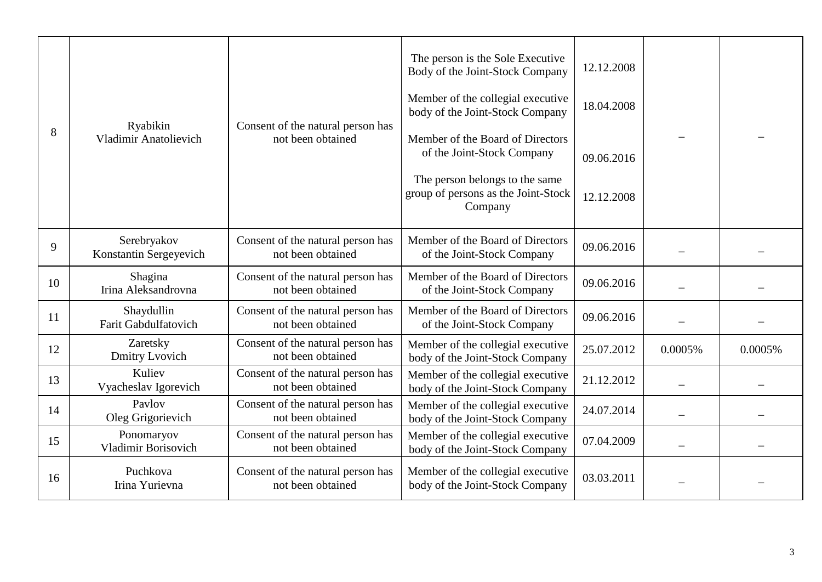| 8  | Ryabikin<br><b>Vladimir Anatolievich</b> | Consent of the natural person has<br>not been obtained | The person is the Sole Executive<br>Body of the Joint-Stock Company<br>Member of the collegial executive<br>body of the Joint-Stock Company<br>Member of the Board of Directors<br>of the Joint-Stock Company<br>The person belongs to the same<br>group of persons as the Joint-Stock<br>Company | 12.12.2008<br>18.04.2008<br>09.06.2016<br>12.12.2008 |         |         |
|----|------------------------------------------|--------------------------------------------------------|---------------------------------------------------------------------------------------------------------------------------------------------------------------------------------------------------------------------------------------------------------------------------------------------------|------------------------------------------------------|---------|---------|
| 9  | Serebryakov<br>Konstantin Sergeyevich    | Consent of the natural person has<br>not been obtained | Member of the Board of Directors<br>of the Joint-Stock Company                                                                                                                                                                                                                                    | 09.06.2016                                           |         |         |
| 10 | Shagina<br>Irina Aleksandrovna           | Consent of the natural person has<br>not been obtained | Member of the Board of Directors<br>of the Joint-Stock Company                                                                                                                                                                                                                                    | 09.06.2016                                           |         |         |
| 11 | Shaydullin<br>Farit Gabdulfatovich       | Consent of the natural person has<br>not been obtained | Member of the Board of Directors<br>of the Joint-Stock Company                                                                                                                                                                                                                                    | 09.06.2016                                           |         |         |
| 12 | Zaretsky<br>Dmitry Lvovich               | Consent of the natural person has<br>not been obtained | Member of the collegial executive<br>body of the Joint-Stock Company                                                                                                                                                                                                                              | 25.07.2012                                           | 0.0005% | 0.0005% |
| 13 | Kuliev<br>Vyacheslav Igorevich           | Consent of the natural person has<br>not been obtained | Member of the collegial executive<br>body of the Joint-Stock Company                                                                                                                                                                                                                              | 21.12.2012                                           |         |         |
| 14 | Paylov<br>Oleg Grigorievich              | Consent of the natural person has<br>not been obtained | Member of the collegial executive<br>body of the Joint-Stock Company                                                                                                                                                                                                                              | 24.07.2014                                           |         |         |
| 15 | Ponomaryov<br>Vladimir Borisovich        | Consent of the natural person has<br>not been obtained | Member of the collegial executive<br>body of the Joint-Stock Company                                                                                                                                                                                                                              | 07.04.2009                                           |         |         |
| 16 | Puchkova<br>Irina Yurievna               | Consent of the natural person has<br>not been obtained | Member of the collegial executive<br>body of the Joint-Stock Company                                                                                                                                                                                                                              | 03.03.2011                                           |         |         |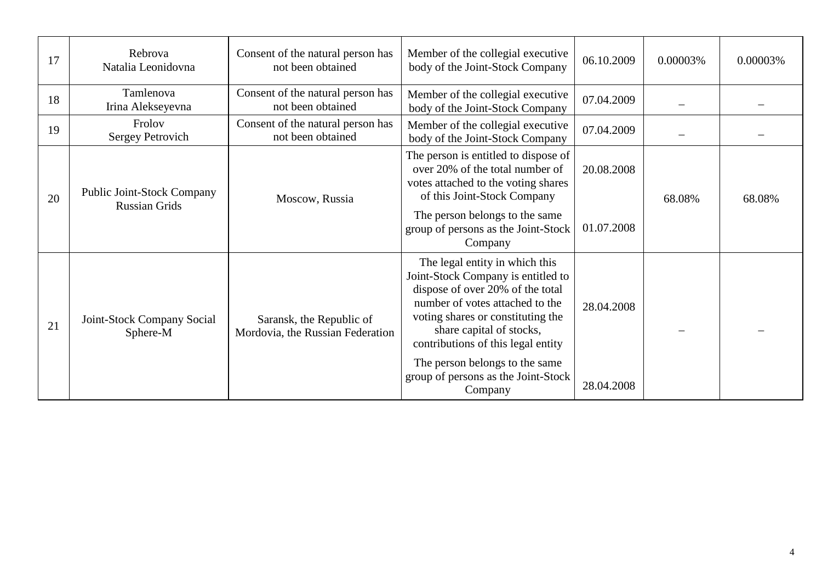| 17 | Rebrova<br>Natalia Leonidovna                      | Consent of the natural person has<br>not been obtained       | Member of the collegial executive<br>body of the Joint-Stock Company                                                                                                                                                                                                                                                                   | 06.10.2009               | 0.00003% | 0.00003% |
|----|----------------------------------------------------|--------------------------------------------------------------|----------------------------------------------------------------------------------------------------------------------------------------------------------------------------------------------------------------------------------------------------------------------------------------------------------------------------------------|--------------------------|----------|----------|
| 18 | Tamlenova<br>Irina Alekseyevna                     | Consent of the natural person has<br>not been obtained       | Member of the collegial executive<br>body of the Joint-Stock Company                                                                                                                                                                                                                                                                   | 07.04.2009               |          |          |
| 19 | Frolov<br>Sergey Petrovich                         | Consent of the natural person has<br>not been obtained       | Member of the collegial executive<br>body of the Joint-Stock Company                                                                                                                                                                                                                                                                   | 07.04.2009               |          |          |
| 20 | <b>Public Joint-Stock Company</b><br>Russian Grids | Moscow, Russia                                               | The person is entitled to dispose of<br>over 20% of the total number of<br>votes attached to the voting shares<br>of this Joint-Stock Company<br>The person belongs to the same<br>group of persons as the Joint-Stock<br>Company                                                                                                      | 20.08.2008<br>01.07.2008 | 68.08%   | 68.08%   |
| 21 | Joint-Stock Company Social<br>Sphere-M             | Saransk, the Republic of<br>Mordovia, the Russian Federation | The legal entity in which this<br>Joint-Stock Company is entitled to<br>dispose of over 20% of the total<br>number of votes attached to the<br>voting shares or constituting the<br>share capital of stocks,<br>contributions of this legal entity<br>The person belongs to the same<br>group of persons as the Joint-Stock<br>Company | 28.04.2008<br>28.04.2008 |          |          |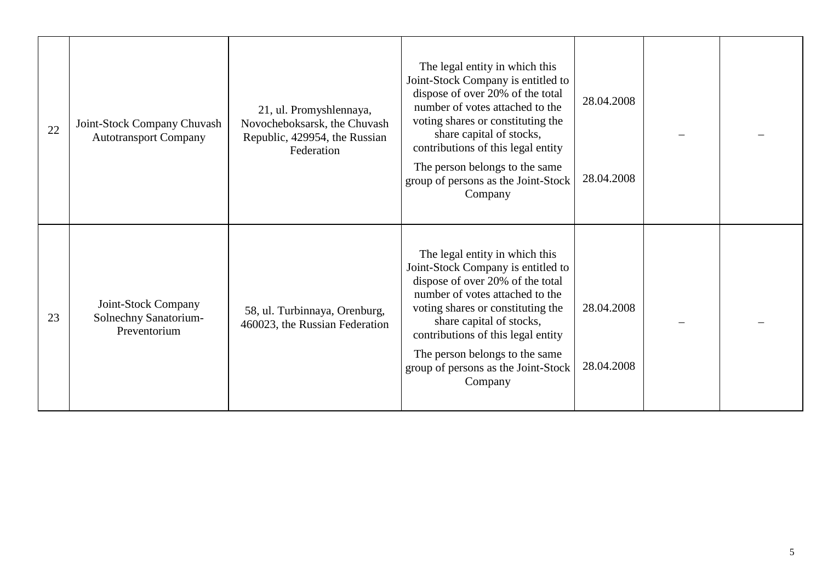| 22 | Joint-Stock Company Chuvash<br><b>Autotransport Company</b>  | 21, ul. Promyshlennaya,<br>Novocheboksarsk, the Chuvash<br>Republic, 429954, the Russian<br>Federation | The legal entity in which this<br>Joint-Stock Company is entitled to<br>dispose of over 20% of the total<br>number of votes attached to the<br>voting shares or constituting the<br>share capital of stocks,<br>contributions of this legal entity<br>The person belongs to the same<br>group of persons as the Joint-Stock<br>Company | 28.04.2008<br>28.04.2008 |  |
|----|--------------------------------------------------------------|--------------------------------------------------------------------------------------------------------|----------------------------------------------------------------------------------------------------------------------------------------------------------------------------------------------------------------------------------------------------------------------------------------------------------------------------------------|--------------------------|--|
| 23 | Joint-Stock Company<br>Solnechny Sanatorium-<br>Preventorium | 58, ul. Turbinnaya, Orenburg,<br>460023, the Russian Federation                                        | The legal entity in which this<br>Joint-Stock Company is entitled to<br>dispose of over 20% of the total<br>number of votes attached to the<br>voting shares or constituting the<br>share capital of stocks,<br>contributions of this legal entity<br>The person belongs to the same<br>group of persons as the Joint-Stock<br>Company | 28.04.2008<br>28.04.2008 |  |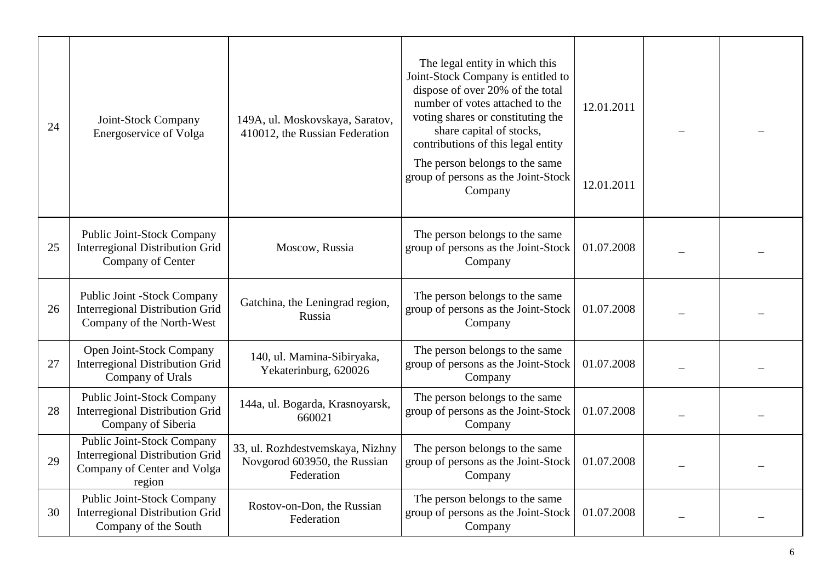| 24 | Joint-Stock Company<br><b>Energoservice of Volga</b>                                                                 | 149A, ul. Moskovskaya, Saratov,<br>410012, the Russian Federation              | The legal entity in which this<br>Joint-Stock Company is entitled to<br>dispose of over 20% of the total<br>number of votes attached to the<br>voting shares or constituting the<br>share capital of stocks,<br>contributions of this legal entity<br>The person belongs to the same<br>group of persons as the Joint-Stock<br>Company | 12.01.2011<br>12.01.2011 |  |
|----|----------------------------------------------------------------------------------------------------------------------|--------------------------------------------------------------------------------|----------------------------------------------------------------------------------------------------------------------------------------------------------------------------------------------------------------------------------------------------------------------------------------------------------------------------------------|--------------------------|--|
| 25 | Public Joint-Stock Company<br><b>Interregional Distribution Grid</b><br>Company of Center                            | Moscow, Russia                                                                 | The person belongs to the same<br>group of persons as the Joint-Stock<br>Company                                                                                                                                                                                                                                                       | 01.07.2008               |  |
| 26 | Public Joint -Stock Company<br><b>Interregional Distribution Grid</b><br>Company of the North-West                   | Gatchina, the Leningrad region,<br>Russia                                      | The person belongs to the same<br>group of persons as the Joint-Stock<br>Company                                                                                                                                                                                                                                                       | 01.07.2008               |  |
| 27 | Open Joint-Stock Company<br><b>Interregional Distribution Grid</b><br>Company of Urals                               | 140, ul. Mamina-Sibiryaka,<br>Yekaterinburg, 620026                            | The person belongs to the same<br>group of persons as the Joint-Stock<br>Company                                                                                                                                                                                                                                                       | 01.07.2008               |  |
| 28 | <b>Public Joint-Stock Company</b><br><b>Interregional Distribution Grid</b><br>Company of Siberia                    | 144a, ul. Bogarda, Krasnoyarsk,<br>660021                                      | The person belongs to the same<br>group of persons as the Joint-Stock<br>Company                                                                                                                                                                                                                                                       | 01.07.2008               |  |
| 29 | <b>Public Joint-Stock Company</b><br><b>Interregional Distribution Grid</b><br>Company of Center and Volga<br>region | 33, ul. Rozhdestvemskaya, Nizhny<br>Novgorod 603950, the Russian<br>Federation | The person belongs to the same<br>group of persons as the Joint-Stock<br>Company                                                                                                                                                                                                                                                       | 01.07.2008               |  |
| 30 | Public Joint-Stock Company<br><b>Interregional Distribution Grid</b><br>Company of the South                         | Rostov-on-Don, the Russian<br>Federation                                       | The person belongs to the same<br>group of persons as the Joint-Stock<br>Company                                                                                                                                                                                                                                                       | 01.07.2008               |  |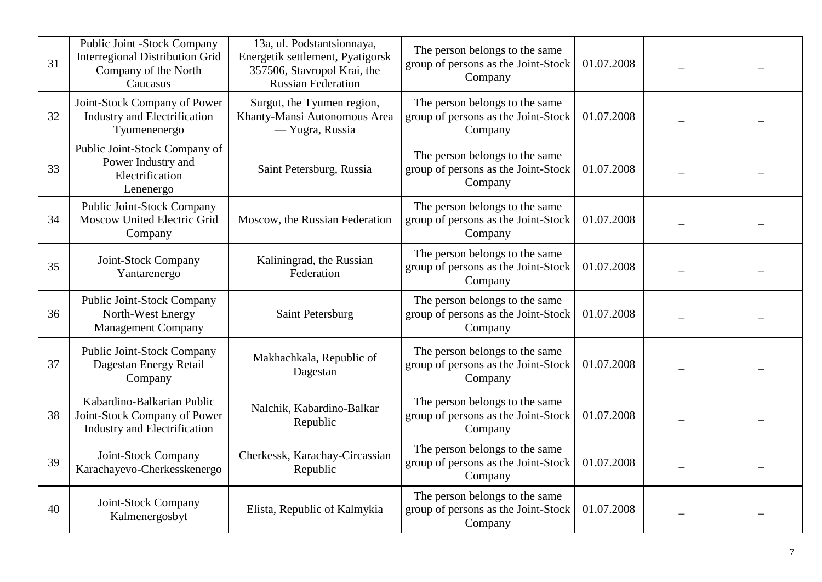| 31 | Public Joint -Stock Company<br><b>Interregional Distribution Grid</b><br>Company of the North<br>Caucasus | 13a, ul. Podstantsionnaya,<br>Energetik settlement, Pyatigorsk<br>357506, Stavropol Krai, the<br><b>Russian Federation</b> | The person belongs to the same<br>group of persons as the Joint-Stock<br>Company | 01.07.2008 |  |
|----|-----------------------------------------------------------------------------------------------------------|----------------------------------------------------------------------------------------------------------------------------|----------------------------------------------------------------------------------|------------|--|
| 32 | Joint-Stock Company of Power<br><b>Industry and Electrification</b><br>Tyumenenergo                       | Surgut, the Tyumen region,<br>Khanty-Mansi Autonomous Area<br>— Yugra, Russia                                              | The person belongs to the same<br>group of persons as the Joint-Stock<br>Company | 01.07.2008 |  |
| 33 | Public Joint-Stock Company of<br>Power Industry and<br>Electrification<br>Lenenergo                       | Saint Petersburg, Russia                                                                                                   | The person belongs to the same<br>group of persons as the Joint-Stock<br>Company | 01.07.2008 |  |
| 34 | Public Joint-Stock Company<br><b>Moscow United Electric Grid</b><br>Company                               | Moscow, the Russian Federation                                                                                             | The person belongs to the same<br>group of persons as the Joint-Stock<br>Company | 01.07.2008 |  |
| 35 | Joint-Stock Company<br>Yantarenergo                                                                       | Kaliningrad, the Russian<br>Federation                                                                                     | The person belongs to the same<br>group of persons as the Joint-Stock<br>Company | 01.07.2008 |  |
| 36 | <b>Public Joint-Stock Company</b><br>North-West Energy<br><b>Management Company</b>                       | Saint Petersburg                                                                                                           | The person belongs to the same<br>group of persons as the Joint-Stock<br>Company | 01.07.2008 |  |
| 37 | Public Joint-Stock Company<br>Dagestan Energy Retail<br>Company                                           | Makhachkala, Republic of<br>Dagestan                                                                                       | The person belongs to the same<br>group of persons as the Joint-Stock<br>Company | 01.07.2008 |  |
| 38 | Kabardino-Balkarian Public<br>Joint-Stock Company of Power<br>Industry and Electrification                | Nalchik, Kabardino-Balkar<br>Republic                                                                                      | The person belongs to the same<br>group of persons as the Joint-Stock<br>Company | 01.07.2008 |  |
| 39 | Joint-Stock Company<br>Karachayevo-Cherkesskenergo                                                        | Cherkessk, Karachay-Circassian<br>Republic                                                                                 | The person belongs to the same<br>group of persons as the Joint-Stock<br>Company | 01.07.2008 |  |
| 40 | Joint-Stock Company<br>Kalmenergosbyt                                                                     | Elista, Republic of Kalmykia                                                                                               | The person belongs to the same<br>group of persons as the Joint-Stock<br>Company | 01.07.2008 |  |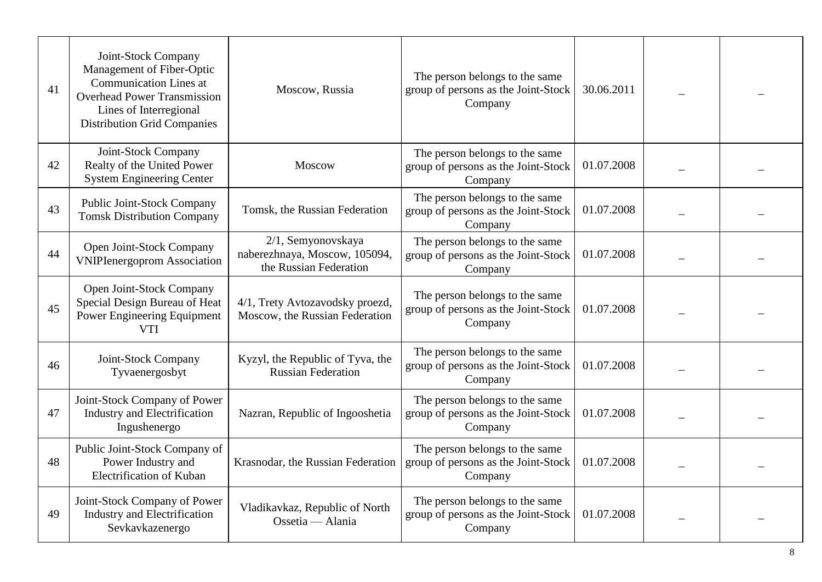| 41 | Joint-Stock Company<br>Management of Fiber-Optic<br><b>Communication Lines at</b><br><b>Overhead Power Transmission</b><br>Lines of Interregional<br><b>Distribution Grid Companies</b> | Moscow, Russia                                                                | The person belongs to the same<br>group of persons as the Joint-Stock<br>Company | 30.06.2011 |  |
|----|-----------------------------------------------------------------------------------------------------------------------------------------------------------------------------------------|-------------------------------------------------------------------------------|----------------------------------------------------------------------------------|------------|--|
| 42 | Joint-Stock Company<br>Realty of the United Power<br><b>System Engineering Center</b>                                                                                                   | Moscow                                                                        | The person belongs to the same<br>group of persons as the Joint-Stock<br>Company | 01.07.2008 |  |
| 43 | Public Joint-Stock Company<br><b>Tomsk Distribution Company</b>                                                                                                                         | Tomsk, the Russian Federation                                                 | The person belongs to the same<br>group of persons as the Joint-Stock<br>Company | 01.07.2008 |  |
| 44 | Open Joint-Stock Company<br><b>VNIPIenergoprom Association</b>                                                                                                                          | 2/1, Semyonovskaya<br>naberezhnaya, Moscow, 105094,<br>the Russian Federation | The person belongs to the same<br>group of persons as the Joint-Stock<br>Company | 01.07.2008 |  |
| 45 | Open Joint-Stock Company<br>Special Design Bureau of Heat<br>Power Engineering Equipment<br><b>VTI</b>                                                                                  | 4/1, Trety Avtozavodsky proezd,<br>Moscow, the Russian Federation             | The person belongs to the same<br>group of persons as the Joint-Stock<br>Company | 01.07.2008 |  |
| 46 | Joint-Stock Company<br>Tyvaenergosbyt                                                                                                                                                   | Kyzyl, the Republic of Tyva, the<br><b>Russian Federation</b>                 | The person belongs to the same<br>group of persons as the Joint-Stock<br>Company | 01.07.2008 |  |
| 47 | Joint-Stock Company of Power<br><b>Industry and Electrification</b><br>Ingushenergo                                                                                                     | Nazran, Republic of Ingooshetia                                               | The person belongs to the same<br>group of persons as the Joint-Stock<br>Company | 01.07.2008 |  |
| 48 | Public Joint-Stock Company of<br>Power Industry and<br><b>Electrification of Kuban</b>                                                                                                  | Krasnodar, the Russian Federation                                             | The person belongs to the same<br>group of persons as the Joint-Stock<br>Company | 01.07.2008 |  |
| 49 | Joint-Stock Company of Power<br><b>Industry and Electrification</b><br>Sevkavkazenergo                                                                                                  | Vladikavkaz, Republic of North<br>Ossetia — Alania                            | The person belongs to the same<br>group of persons as the Joint-Stock<br>Company | 01.07.2008 |  |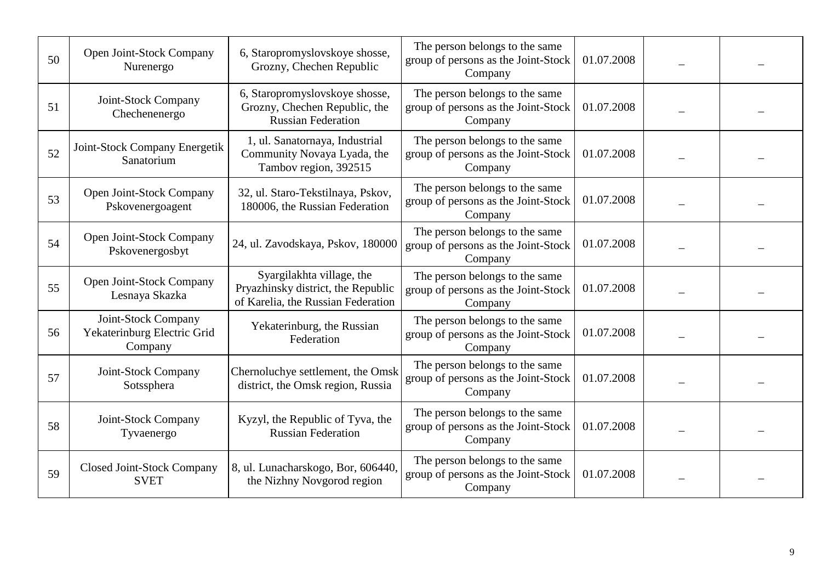| 50 | Open Joint-Stock Company<br>Nurenergo                         | 6, Staropromyslovskoye shosse,<br>Grozny, Chechen Republic                                            | The person belongs to the same<br>group of persons as the Joint-Stock<br>Company | 01.07.2008 |  |
|----|---------------------------------------------------------------|-------------------------------------------------------------------------------------------------------|----------------------------------------------------------------------------------|------------|--|
| 51 | Joint-Stock Company<br>Chechenenergo                          | 6, Staropromyslovskoye shosse,<br>Grozny, Chechen Republic, the<br><b>Russian Federation</b>          | The person belongs to the same<br>group of persons as the Joint-Stock<br>Company | 01.07.2008 |  |
| 52 | Joint-Stock Company Energetik<br>Sanatorium                   | 1, ul. Sanatornaya, Industrial<br>Community Novaya Lyada, the<br>Tambov region, 392515                | The person belongs to the same<br>group of persons as the Joint-Stock<br>Company | 01.07.2008 |  |
| 53 | Open Joint-Stock Company<br>Pskovenergoagent                  | 32, ul. Staro-Tekstilnaya, Pskov,<br>180006, the Russian Federation                                   | The person belongs to the same<br>group of persons as the Joint-Stock<br>Company | 01.07.2008 |  |
| 54 | Open Joint-Stock Company<br>Pskovenergosbyt                   | 24, ul. Zavodskaya, Pskov, 180000                                                                     | The person belongs to the same<br>group of persons as the Joint-Stock<br>Company | 01.07.2008 |  |
| 55 | Open Joint-Stock Company<br>Lesnaya Skazka                    | Syargilakhta village, the<br>Pryazhinsky district, the Republic<br>of Karelia, the Russian Federation | The person belongs to the same<br>group of persons as the Joint-Stock<br>Company | 01.07.2008 |  |
| 56 | Joint-Stock Company<br>Yekaterinburg Electric Grid<br>Company | Yekaterinburg, the Russian<br>Federation                                                              | The person belongs to the same<br>group of persons as the Joint-Stock<br>Company | 01.07.2008 |  |
| 57 | Joint-Stock Company<br>Sotssphera                             | Chernoluchye settlement, the Omsk<br>district, the Omsk region, Russia                                | The person belongs to the same<br>group of persons as the Joint-Stock<br>Company | 01.07.2008 |  |
| 58 | Joint-Stock Company<br>Tyvaenergo                             | Kyzyl, the Republic of Tyva, the<br><b>Russian Federation</b>                                         | The person belongs to the same<br>group of persons as the Joint-Stock<br>Company | 01.07.2008 |  |
| 59 | <b>Closed Joint-Stock Company</b><br><b>SVET</b>              | 8, ul. Lunacharskogo, Bor, 606440,<br>the Nizhny Novgorod region                                      | The person belongs to the same<br>group of persons as the Joint-Stock<br>Company | 01.07.2008 |  |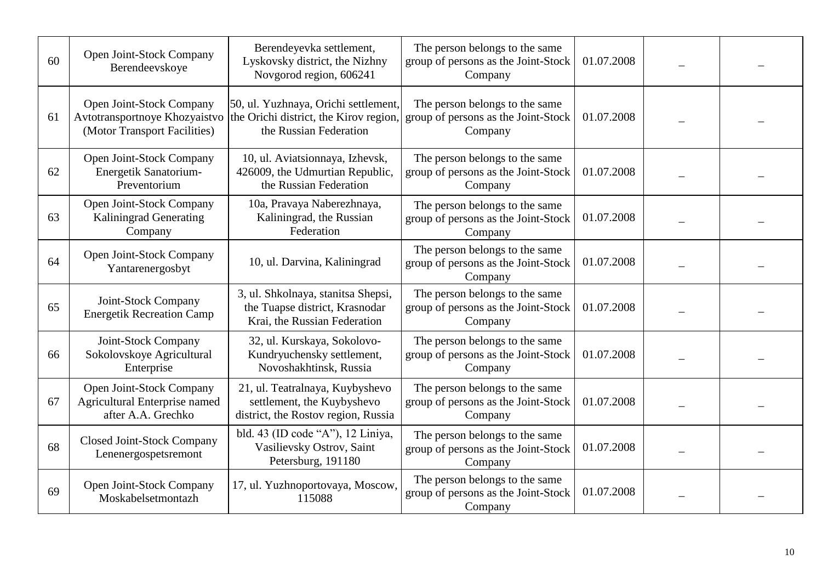| 60 | Open Joint-Stock Company<br>Berendeevskoye                                                | Berendeyevka settlement,<br>Lyskovsky district, the Nizhny<br>Novgorod region, 606241                    | The person belongs to the same<br>group of persons as the Joint-Stock<br>Company | 01.07.2008 |  |
|----|-------------------------------------------------------------------------------------------|----------------------------------------------------------------------------------------------------------|----------------------------------------------------------------------------------|------------|--|
| 61 | Open Joint-Stock Company<br>Avtotransportnoye Khozyaistvo<br>(Motor Transport Facilities) | 50, ul. Yuzhnaya, Orichi settlement,<br>the Orichi district, the Kirov region,<br>the Russian Federation | The person belongs to the same<br>group of persons as the Joint-Stock<br>Company | 01.07.2008 |  |
| 62 | Open Joint-Stock Company<br>Energetik Sanatorium-<br>Preventorium                         | 10, ul. Aviatsionnaya, Izhevsk,<br>426009, the Udmurtian Republic,<br>the Russian Federation             | The person belongs to the same<br>group of persons as the Joint-Stock<br>Company | 01.07.2008 |  |
| 63 | Open Joint-Stock Company<br><b>Kaliningrad Generating</b><br>Company                      | 10a, Pravaya Naberezhnaya,<br>Kaliningrad, the Russian<br>Federation                                     | The person belongs to the same<br>group of persons as the Joint-Stock<br>Company | 01.07.2008 |  |
| 64 | Open Joint-Stock Company<br>Yantarenergosbyt                                              | 10, ul. Darvina, Kaliningrad                                                                             | The person belongs to the same<br>group of persons as the Joint-Stock<br>Company | 01.07.2008 |  |
| 65 | Joint-Stock Company<br><b>Energetik Recreation Camp</b>                                   | 3, ul. Shkolnaya, stanitsa Shepsi,<br>the Tuapse district, Krasnodar<br>Krai, the Russian Federation     | The person belongs to the same<br>group of persons as the Joint-Stock<br>Company | 01.07.2008 |  |
| 66 | Joint-Stock Company<br>Sokolovskoye Agricultural<br>Enterprise                            | 32, ul. Kurskaya, Sokolovo-<br>Kundryuchensky settlement,<br>Novoshakhtinsk, Russia                      | The person belongs to the same<br>group of persons as the Joint-Stock<br>Company | 01.07.2008 |  |
| 67 | Open Joint-Stock Company<br>Agricultural Enterprise named<br>after A.A. Grechko           | 21, ul. Teatralnaya, Kuybyshevo<br>settlement, the Kuybyshevo<br>district, the Rostov region, Russia     | The person belongs to the same<br>group of persons as the Joint-Stock<br>Company | 01.07.2008 |  |
| 68 | <b>Closed Joint-Stock Company</b><br>Lenenergospetsremont                                 | bld. 43 (ID code "A"), 12 Liniya,<br>Vasilievsky Ostrov, Saint<br>Petersburg, 191180                     | The person belongs to the same<br>group of persons as the Joint-Stock<br>Company | 01.07.2008 |  |
| 69 | Open Joint-Stock Company<br>Moskabelsetmontazh                                            | 17, ul. Yuzhnoportovaya, Moscow,<br>115088                                                               | The person belongs to the same<br>group of persons as the Joint-Stock<br>Company | 01.07.2008 |  |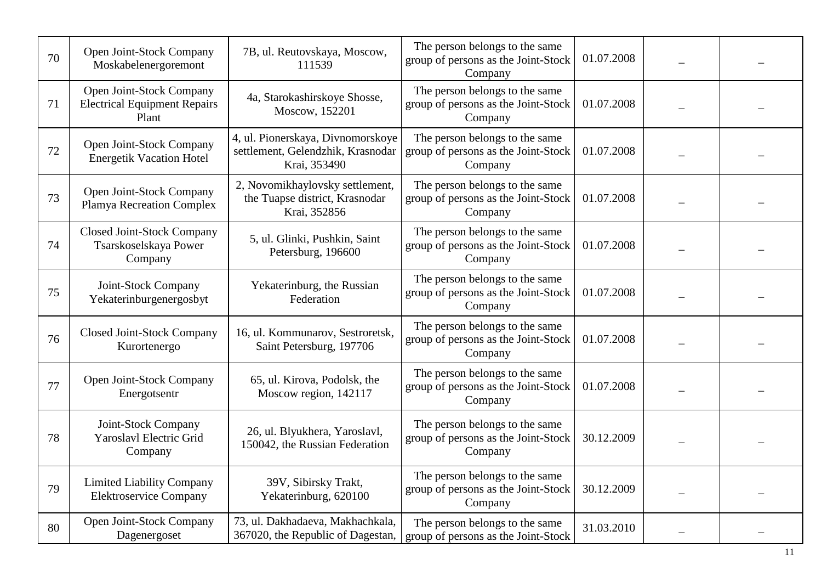| 70 | Open Joint-Stock Company<br>Moskabelenergoremont                         | 7B, ul. Reutovskaya, Moscow,<br>111539                                                 | The person belongs to the same<br>group of persons as the Joint-Stock<br>Company | 01.07.2008 |  |
|----|--------------------------------------------------------------------------|----------------------------------------------------------------------------------------|----------------------------------------------------------------------------------|------------|--|
| 71 | Open Joint-Stock Company<br><b>Electrical Equipment Repairs</b><br>Plant | 4a, Starokashirskoye Shosse,<br>Moscow, 152201                                         | The person belongs to the same<br>group of persons as the Joint-Stock<br>Company | 01.07.2008 |  |
| 72 | Open Joint-Stock Company<br><b>Energetik Vacation Hotel</b>              | 4, ul. Pionerskaya, Divnomorskoye<br>settlement, Gelendzhik, Krasnodar<br>Krai, 353490 | The person belongs to the same<br>group of persons as the Joint-Stock<br>Company | 01.07.2008 |  |
| 73 | Open Joint-Stock Company<br>Plamya Recreation Complex                    | 2, Novomikhaylovsky settlement,<br>the Tuapse district, Krasnodar<br>Krai, 352856      | The person belongs to the same<br>group of persons as the Joint-Stock<br>Company | 01.07.2008 |  |
| 74 | <b>Closed Joint-Stock Company</b><br>Tsarskoselskaya Power<br>Company    | 5, ul. Glinki, Pushkin, Saint<br>Petersburg, 196600                                    | The person belongs to the same<br>group of persons as the Joint-Stock<br>Company | 01.07.2008 |  |
| 75 | Joint-Stock Company<br>Yekaterinburgenergosbyt                           | Yekaterinburg, the Russian<br>Federation                                               | The person belongs to the same<br>group of persons as the Joint-Stock<br>Company | 01.07.2008 |  |
| 76 | <b>Closed Joint-Stock Company</b><br>Kurortenergo                        | 16, ul. Kommunarov, Sestroretsk,<br>Saint Petersburg, 197706                           | The person belongs to the same<br>group of persons as the Joint-Stock<br>Company | 01.07.2008 |  |
| 77 | Open Joint-Stock Company<br>Energotsentr                                 | 65, ul. Kirova, Podolsk, the<br>Moscow region, 142117                                  | The person belongs to the same<br>group of persons as the Joint-Stock<br>Company | 01.07.2008 |  |
| 78 | Joint-Stock Company<br><b>Yaroslavl Electric Grid</b><br>Company         | 26, ul. Blyukhera, Yaroslavl,<br>150042, the Russian Federation                        | The person belongs to the same<br>group of persons as the Joint-Stock<br>Company | 30.12.2009 |  |
| 79 | <b>Limited Liability Company</b><br><b>Elektroservice Company</b>        | 39V, Sibirsky Trakt,<br>Yekaterinburg, 620100                                          | The person belongs to the same<br>group of persons as the Joint-Stock<br>Company | 30.12.2009 |  |
| 80 | Open Joint-Stock Company<br>Dagenergoset                                 | 73, ul. Dakhadaeva, Makhachkala,<br>367020, the Republic of Dagestan,                  | The person belongs to the same<br>group of persons as the Joint-Stock            | 31.03.2010 |  |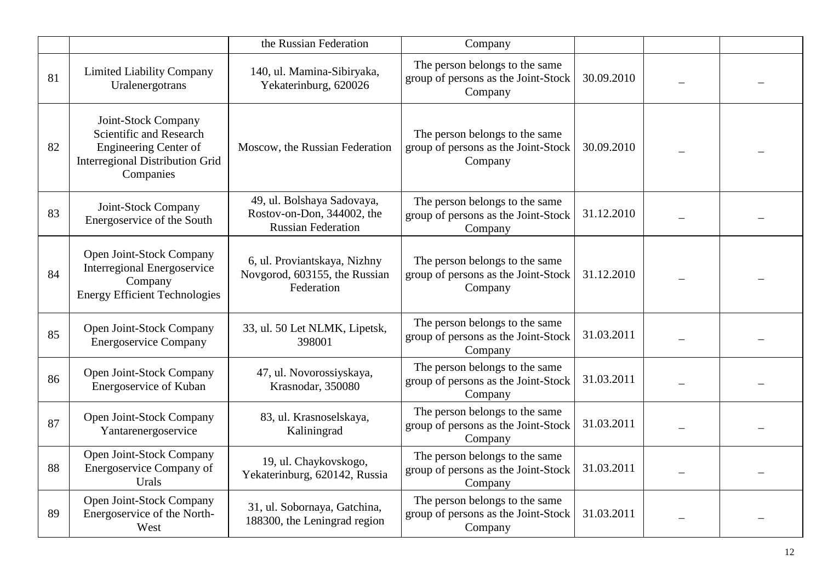|    |                                                                                                                                       | the Russian Federation                                                                | Company                                                                          |            |  |
|----|---------------------------------------------------------------------------------------------------------------------------------------|---------------------------------------------------------------------------------------|----------------------------------------------------------------------------------|------------|--|
| 81 | <b>Limited Liability Company</b><br>Uralenergotrans                                                                                   | 140, ul. Mamina-Sibiryaka,<br>Yekaterinburg, 620026                                   | The person belongs to the same<br>group of persons as the Joint-Stock<br>Company | 30.09.2010 |  |
| 82 | Joint-Stock Company<br>Scientific and Research<br><b>Engineering Center of</b><br><b>Interregional Distribution Grid</b><br>Companies | Moscow, the Russian Federation                                                        | The person belongs to the same<br>group of persons as the Joint-Stock<br>Company | 30.09.2010 |  |
| 83 | Joint-Stock Company<br>Energoservice of the South                                                                                     | 49, ul. Bolshaya Sadovaya,<br>Rostov-on-Don, 344002, the<br><b>Russian Federation</b> | The person belongs to the same<br>group of persons as the Joint-Stock<br>Company | 31.12.2010 |  |
| 84 | Open Joint-Stock Company<br><b>Interregional Energoservice</b><br>Company<br><b>Energy Efficient Technologies</b>                     | 6, ul. Proviantskaya, Nizhny<br>Novgorod, 603155, the Russian<br>Federation           | The person belongs to the same<br>group of persons as the Joint-Stock<br>Company | 31.12.2010 |  |
| 85 | Open Joint-Stock Company<br><b>Energoservice Company</b>                                                                              | 33, ul. 50 Let NLMK, Lipetsk,<br>398001                                               | The person belongs to the same<br>group of persons as the Joint-Stock<br>Company | 31.03.2011 |  |
| 86 | Open Joint-Stock Company<br>Energoservice of Kuban                                                                                    | 47, ul. Novorossiyskaya,<br>Krasnodar, 350080                                         | The person belongs to the same<br>group of persons as the Joint-Stock<br>Company | 31.03.2011 |  |
| 87 | Open Joint-Stock Company<br>Yantarenergoservice                                                                                       | 83, ul. Krasnoselskaya,<br>Kaliningrad                                                | The person belongs to the same<br>group of persons as the Joint-Stock<br>Company | 31.03.2011 |  |
| 88 | <b>Open Joint-Stock Company</b><br><b>Energoservice Company of</b><br>Urals                                                           | 19, ul. Chaykovskogo,<br>Yekaterinburg, 620142, Russia                                | The person belongs to the same<br>group of persons as the Joint-Stock<br>Company | 31.03.2011 |  |
| 89 | Open Joint-Stock Company<br>Energoservice of the North-<br>West                                                                       | 31, ul. Sobornaya, Gatchina,<br>188300, the Leningrad region                          | The person belongs to the same<br>group of persons as the Joint-Stock<br>Company | 31.03.2011 |  |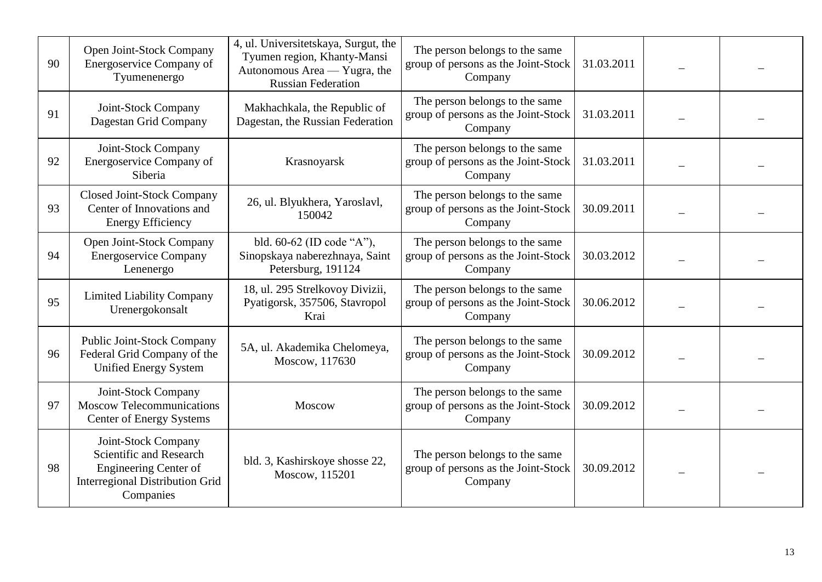| 90 | Open Joint-Stock Company<br>Energoservice Company of<br>Tyumenenergo                                                                  | 4, ul. Universitetskaya, Surgut, the<br>Tyumen region, Khanty-Mansi<br>Autonomous Area — Yugra, the<br><b>Russian Federation</b> | The person belongs to the same<br>group of persons as the Joint-Stock<br>Company | 31.03.2011 |  |
|----|---------------------------------------------------------------------------------------------------------------------------------------|----------------------------------------------------------------------------------------------------------------------------------|----------------------------------------------------------------------------------|------------|--|
| 91 | Joint-Stock Company<br>Dagestan Grid Company                                                                                          | Makhachkala, the Republic of<br>Dagestan, the Russian Federation                                                                 | The person belongs to the same<br>group of persons as the Joint-Stock<br>Company | 31.03.2011 |  |
| 92 | Joint-Stock Company<br>Energoservice Company of<br>Siberia                                                                            | Krasnoyarsk                                                                                                                      | The person belongs to the same<br>group of persons as the Joint-Stock<br>Company | 31.03.2011 |  |
| 93 | <b>Closed Joint-Stock Company</b><br>Center of Innovations and<br><b>Energy Efficiency</b>                                            | 26, ul. Blyukhera, Yaroslavl,<br>150042                                                                                          | The person belongs to the same<br>group of persons as the Joint-Stock<br>Company | 30.09.2011 |  |
| 94 | Open Joint-Stock Company<br><b>Energoservice Company</b><br>Lenenergo                                                                 | bld. 60-62 (ID code "A"),<br>Sinopskaya naberezhnaya, Saint<br>Petersburg, 191124                                                | The person belongs to the same<br>group of persons as the Joint-Stock<br>Company | 30.03.2012 |  |
| 95 | <b>Limited Liability Company</b><br>Urenergokonsalt                                                                                   | 18, ul. 295 Strelkovoy Divizii,<br>Pyatigorsk, 357506, Stavropol<br>Krai                                                         | The person belongs to the same<br>group of persons as the Joint-Stock<br>Company | 30.06.2012 |  |
| 96 | Public Joint-Stock Company<br>Federal Grid Company of the<br><b>Unified Energy System</b>                                             | 5A, ul. Akademika Chelomeya,<br>Moscow, 117630                                                                                   | The person belongs to the same<br>group of persons as the Joint-Stock<br>Company | 30.09.2012 |  |
| 97 | Joint-Stock Company<br><b>Moscow Telecommunications</b><br><b>Center of Energy Systems</b>                                            | Moscow                                                                                                                           | The person belongs to the same<br>group of persons as the Joint-Stock<br>Company | 30.09.2012 |  |
| 98 | Joint-Stock Company<br>Scientific and Research<br><b>Engineering Center of</b><br><b>Interregional Distribution Grid</b><br>Companies | bld. 3, Kashirskoye shosse 22,<br>Moscow, 115201                                                                                 | The person belongs to the same<br>group of persons as the Joint-Stock<br>Company | 30.09.2012 |  |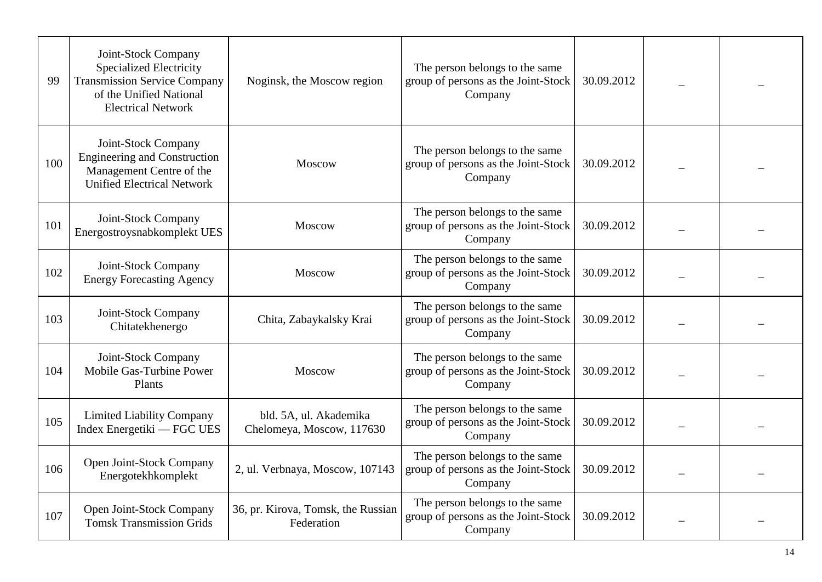| 99  | Joint-Stock Company<br><b>Specialized Electricity</b><br><b>Transmission Service Company</b><br>of the Unified National<br><b>Electrical Network</b> | Noginsk, the Moscow region                          | The person belongs to the same<br>group of persons as the Joint-Stock<br>Company | 30.09.2012 |  |
|-----|------------------------------------------------------------------------------------------------------------------------------------------------------|-----------------------------------------------------|----------------------------------------------------------------------------------|------------|--|
| 100 | Joint-Stock Company<br><b>Engineering and Construction</b><br>Management Centre of the<br><b>Unified Electrical Network</b>                          | Moscow                                              | The person belongs to the same<br>group of persons as the Joint-Stock<br>Company | 30.09.2012 |  |
| 101 | Joint-Stock Company<br>Energostroysnabkomplekt UES                                                                                                   | Moscow                                              | The person belongs to the same<br>group of persons as the Joint-Stock<br>Company | 30.09.2012 |  |
| 102 | Joint-Stock Company<br><b>Energy Forecasting Agency</b>                                                                                              | Moscow                                              | The person belongs to the same<br>group of persons as the Joint-Stock<br>Company | 30.09.2012 |  |
| 103 | Joint-Stock Company<br>Chitatekhenergo                                                                                                               | Chita, Zabaykalsky Krai                             | The person belongs to the same<br>group of persons as the Joint-Stock<br>Company | 30.09.2012 |  |
| 104 | Joint-Stock Company<br>Mobile Gas-Turbine Power<br>Plants                                                                                            | Moscow                                              | The person belongs to the same<br>group of persons as the Joint-Stock<br>Company | 30.09.2012 |  |
| 105 | <b>Limited Liability Company</b><br>Index Energetiki — FGC UES                                                                                       | bld. 5A, ul. Akademika<br>Chelomeya, Moscow, 117630 | The person belongs to the same<br>group of persons as the Joint-Stock<br>Company | 30.09.2012 |  |
| 106 | Open Joint-Stock Company<br>Energotekhkomplekt                                                                                                       | 2, ul. Verbnaya, Moscow, 107143                     | The person belongs to the same<br>group of persons as the Joint-Stock<br>Company | 30.09.2012 |  |
| 107 | Open Joint-Stock Company<br><b>Tomsk Transmission Grids</b>                                                                                          | 36, pr. Kirova, Tomsk, the Russian<br>Federation    | The person belongs to the same<br>group of persons as the Joint-Stock<br>Company | 30.09.2012 |  |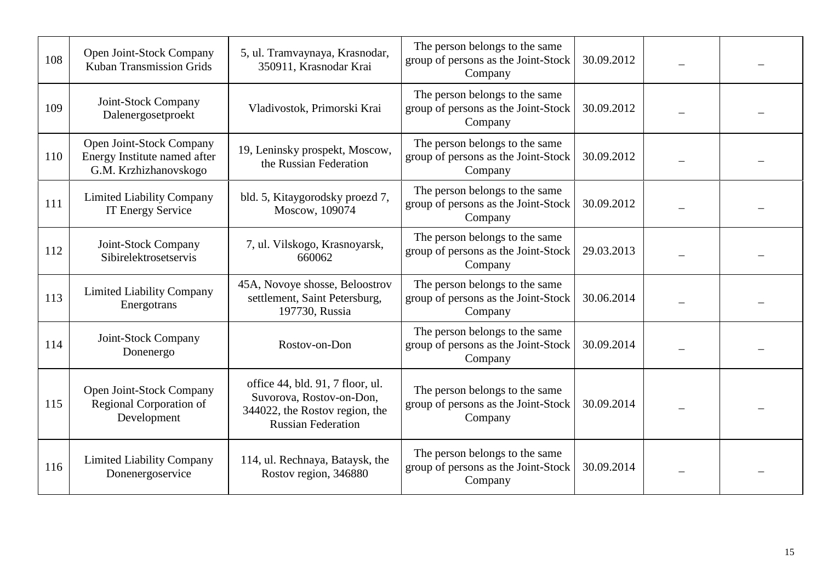| 108 | Open Joint-Stock Company<br><b>Kuban Transmission Grids</b>                       | 5, ul. Tramvaynaya, Krasnodar,<br>350911, Krasnodar Krai                                                                    | The person belongs to the same<br>group of persons as the Joint-Stock<br>Company | 30.09.2012 |  |
|-----|-----------------------------------------------------------------------------------|-----------------------------------------------------------------------------------------------------------------------------|----------------------------------------------------------------------------------|------------|--|
| 109 | Joint-Stock Company<br>Dalenergosetproekt                                         | Vladivostok, Primorski Krai                                                                                                 | The person belongs to the same<br>group of persons as the Joint-Stock<br>Company | 30.09.2012 |  |
| 110 | Open Joint-Stock Company<br>Energy Institute named after<br>G.M. Krzhizhanovskogo | 19, Leninsky prospekt, Moscow,<br>the Russian Federation                                                                    | The person belongs to the same<br>group of persons as the Joint-Stock<br>Company | 30.09.2012 |  |
| 111 | <b>Limited Liability Company</b><br><b>IT Energy Service</b>                      | bld. 5, Kitaygorodsky proezd 7,<br>Moscow, 109074                                                                           | The person belongs to the same<br>group of persons as the Joint-Stock<br>Company | 30.09.2012 |  |
| 112 | Joint-Stock Company<br>Sibirelektrosetservis                                      | 7, ul. Vilskogo, Krasnoyarsk,<br>660062                                                                                     | The person belongs to the same<br>group of persons as the Joint-Stock<br>Company | 29.03.2013 |  |
| 113 | <b>Limited Liability Company</b><br>Energotrans                                   | 45A, Novoye shosse, Beloostrov<br>settlement, Saint Petersburg,<br>197730, Russia                                           | The person belongs to the same<br>group of persons as the Joint-Stock<br>Company | 30.06.2014 |  |
| 114 | Joint-Stock Company<br>Donenergo                                                  | Rostov-on-Don                                                                                                               | The person belongs to the same<br>group of persons as the Joint-Stock<br>Company | 30.09.2014 |  |
| 115 | Open Joint-Stock Company<br>Regional Corporation of<br>Development                | office 44, bld. 91, 7 floor, ul.<br>Suvorova, Rostov-on-Don,<br>344022, the Rostov region, the<br><b>Russian Federation</b> | The person belongs to the same<br>group of persons as the Joint-Stock<br>Company | 30.09.2014 |  |
| 116 | <b>Limited Liability Company</b><br>Donenergoservice                              | 114, ul. Rechnaya, Bataysk, the<br>Rostov region, 346880                                                                    | The person belongs to the same<br>group of persons as the Joint-Stock<br>Company | 30.09.2014 |  |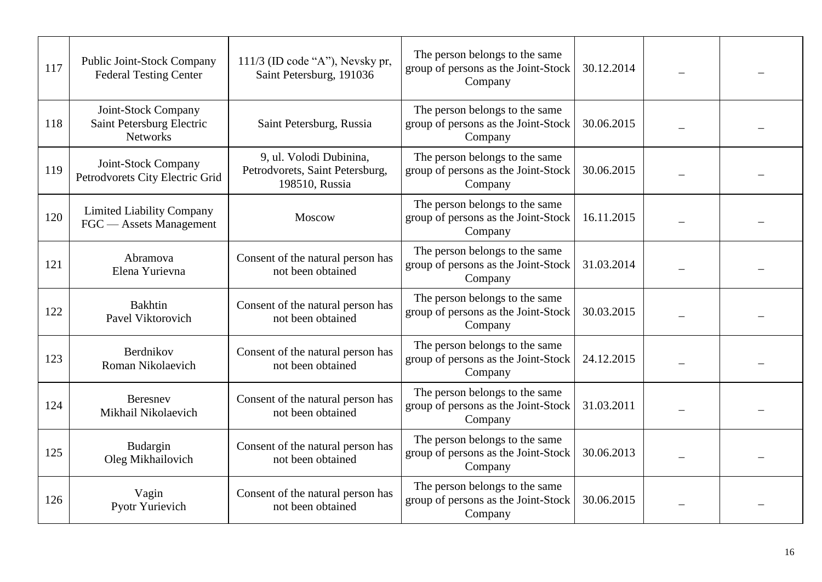| 117 | Public Joint-Stock Company<br><b>Federal Testing Center</b>         | $111/3$ (ID code "A"), Nevsky pr,<br>Saint Petersburg, 191036                | The person belongs to the same<br>group of persons as the Joint-Stock<br>Company | 30.12.2014 |  |
|-----|---------------------------------------------------------------------|------------------------------------------------------------------------------|----------------------------------------------------------------------------------|------------|--|
| 118 | Joint-Stock Company<br>Saint Petersburg Electric<br><b>Networks</b> | Saint Petersburg, Russia                                                     | The person belongs to the same<br>group of persons as the Joint-Stock<br>Company | 30.06.2015 |  |
| 119 | Joint-Stock Company<br>Petrodvorets City Electric Grid              | 9, ul. Volodi Dubinina,<br>Petrodvorets, Saint Petersburg,<br>198510, Russia | The person belongs to the same<br>group of persons as the Joint-Stock<br>Company | 30.06.2015 |  |
| 120 | <b>Limited Liability Company</b><br>FGC — Assets Management         | Moscow                                                                       | The person belongs to the same<br>group of persons as the Joint-Stock<br>Company | 16.11.2015 |  |
| 121 | Abramova<br>Elena Yurievna                                          | Consent of the natural person has<br>not been obtained                       | The person belongs to the same<br>group of persons as the Joint-Stock<br>Company | 31.03.2014 |  |
| 122 | <b>Bakhtin</b><br>Pavel Viktorovich                                 | Consent of the natural person has<br>not been obtained                       | The person belongs to the same<br>group of persons as the Joint-Stock<br>Company | 30.03.2015 |  |
| 123 | Berdnikov<br>Roman Nikolaevich                                      | Consent of the natural person has<br>not been obtained                       | The person belongs to the same<br>group of persons as the Joint-Stock<br>Company | 24.12.2015 |  |
| 124 | Beresnev<br>Mikhail Nikolaevich                                     | Consent of the natural person has<br>not been obtained                       | The person belongs to the same<br>group of persons as the Joint-Stock<br>Company | 31.03.2011 |  |
| 125 | Budargin<br>Oleg Mikhailovich                                       | Consent of the natural person has<br>not been obtained                       | The person belongs to the same<br>group of persons as the Joint-Stock<br>Company | 30.06.2013 |  |
| 126 | Vagin<br>Pyotr Yurievich                                            | Consent of the natural person has<br>not been obtained                       | The person belongs to the same<br>group of persons as the Joint-Stock<br>Company | 30.06.2015 |  |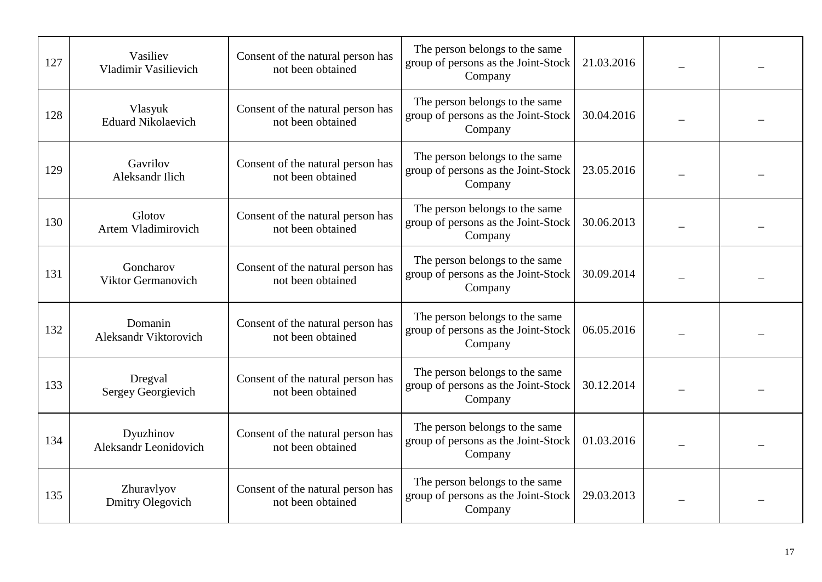| 127 | Vasiliev<br>Vladimir Vasilievich          | Consent of the natural person has<br>not been obtained | The person belongs to the same<br>group of persons as the Joint-Stock<br>Company | 21.03.2016 |  |
|-----|-------------------------------------------|--------------------------------------------------------|----------------------------------------------------------------------------------|------------|--|
| 128 | Vlasyuk<br><b>Eduard Nikolaevich</b>      | Consent of the natural person has<br>not been obtained | The person belongs to the same<br>group of persons as the Joint-Stock<br>Company | 30.04.2016 |  |
| 129 | Gavrilov<br>Aleksandr Ilich               | Consent of the natural person has<br>not been obtained | The person belongs to the same<br>group of persons as the Joint-Stock<br>Company | 23.05.2016 |  |
| 130 | Glotov<br><b>Artem Vladimirovich</b>      | Consent of the natural person has<br>not been obtained | The person belongs to the same<br>group of persons as the Joint-Stock<br>Company | 30.06.2013 |  |
| 131 | Goncharov<br>Viktor Germanovich           | Consent of the natural person has<br>not been obtained | The person belongs to the same<br>group of persons as the Joint-Stock<br>Company | 30.09.2014 |  |
| 132 | Domanin<br>Aleksandr Viktorovich          | Consent of the natural person has<br>not been obtained | The person belongs to the same<br>group of persons as the Joint-Stock<br>Company | 06.05.2016 |  |
| 133 | Dregval<br>Sergey Georgievich             | Consent of the natural person has<br>not been obtained | The person belongs to the same<br>group of persons as the Joint-Stock<br>Company | 30.12.2014 |  |
| 134 | Dyuzhinov<br><b>Aleksandr Leonidovich</b> | Consent of the natural person has<br>not been obtained | The person belongs to the same<br>group of persons as the Joint-Stock<br>Company | 01.03.2016 |  |
| 135 | Zhuravlyov<br><b>Dmitry Olegovich</b>     | Consent of the natural person has<br>not been obtained | The person belongs to the same<br>group of persons as the Joint-Stock<br>Company | 29.03.2013 |  |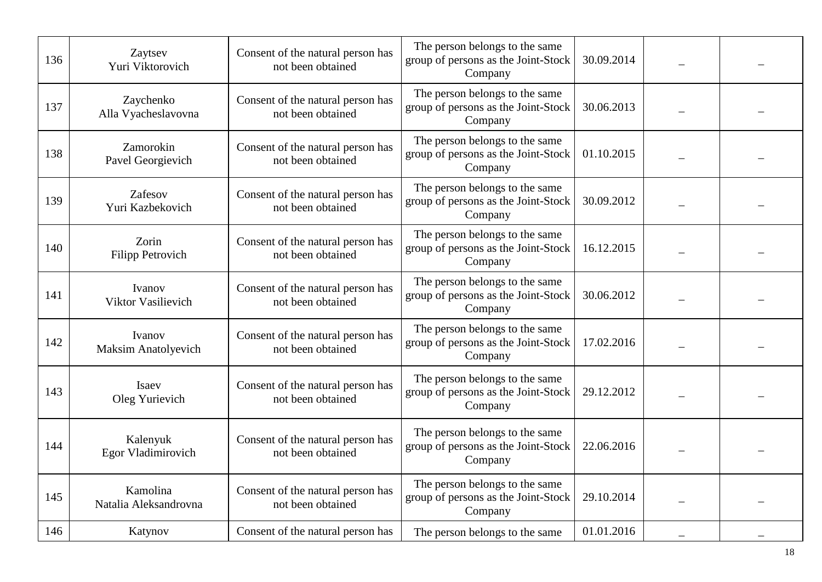| 136 | Zaytsev<br>Yuri Viktorovich          | Consent of the natural person has<br>not been obtained | The person belongs to the same<br>group of persons as the Joint-Stock<br>Company | 30.09.2014 |  |
|-----|--------------------------------------|--------------------------------------------------------|----------------------------------------------------------------------------------|------------|--|
| 137 | Zaychenko<br>Alla Vyacheslavovna     | Consent of the natural person has<br>not been obtained | The person belongs to the same<br>group of persons as the Joint-Stock<br>Company | 30.06.2013 |  |
| 138 | Zamorokin<br>Pavel Georgievich       | Consent of the natural person has<br>not been obtained | The person belongs to the same<br>group of persons as the Joint-Stock<br>Company | 01.10.2015 |  |
| 139 | Zafesov<br>Yuri Kazbekovich          | Consent of the natural person has<br>not been obtained | The person belongs to the same<br>group of persons as the Joint-Stock<br>Company | 30.09.2012 |  |
| 140 | Zorin<br><b>Filipp Petrovich</b>     | Consent of the natural person has<br>not been obtained | The person belongs to the same<br>group of persons as the Joint-Stock<br>Company | 16.12.2015 |  |
| 141 | Ivanov<br>Viktor Vasilievich         | Consent of the natural person has<br>not been obtained | The person belongs to the same<br>group of persons as the Joint-Stock<br>Company | 30.06.2012 |  |
| 142 | Ivanov<br><b>Maksim Anatolyevich</b> | Consent of the natural person has<br>not been obtained | The person belongs to the same<br>group of persons as the Joint-Stock<br>Company | 17.02.2016 |  |
| 143 | Isaev<br>Oleg Yurievich              | Consent of the natural person has<br>not been obtained | The person belongs to the same<br>group of persons as the Joint-Stock<br>Company | 29.12.2012 |  |
| 144 | Kalenyuk<br>Egor Vladimirovich       | Consent of the natural person has<br>not been obtained | The person belongs to the same<br>group of persons as the Joint-Stock<br>Company | 22.06.2016 |  |
| 145 | Kamolina<br>Natalia Aleksandrovna    | Consent of the natural person has<br>not been obtained | The person belongs to the same<br>group of persons as the Joint-Stock<br>Company | 29.10.2014 |  |
| 146 | Katynov                              | Consent of the natural person has                      | The person belongs to the same                                                   | 01.01.2016 |  |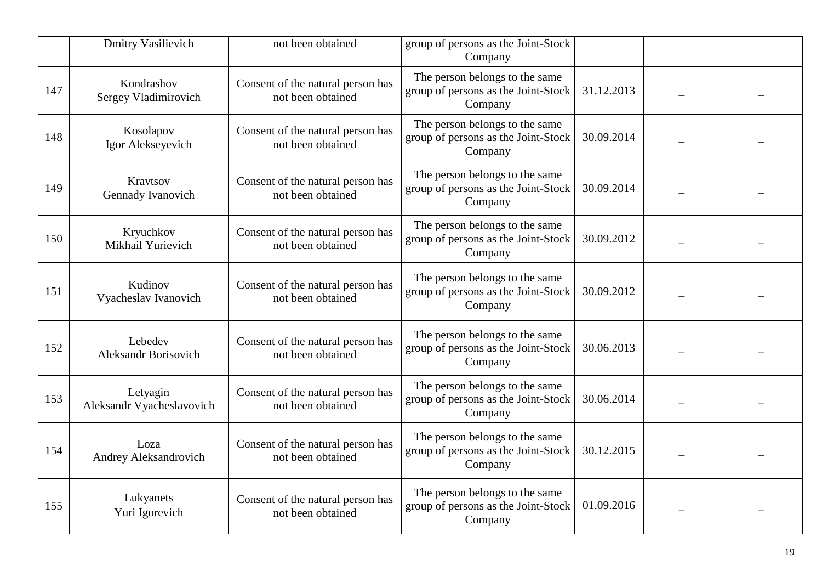|     | <b>Dmitry Vasilievich</b>              | not been obtained                                      | group of persons as the Joint-Stock<br>Company                                   |            |  |
|-----|----------------------------------------|--------------------------------------------------------|----------------------------------------------------------------------------------|------------|--|
| 147 | Kondrashov<br>Sergey Vladimirovich     | Consent of the natural person has<br>not been obtained | The person belongs to the same<br>group of persons as the Joint-Stock<br>Company | 31.12.2013 |  |
| 148 | Kosolapov<br>Igor Alekseyevich         | Consent of the natural person has<br>not been obtained | The person belongs to the same<br>group of persons as the Joint-Stock<br>Company | 30.09.2014 |  |
| 149 | Kravtsov<br>Gennady Ivanovich          | Consent of the natural person has<br>not been obtained | The person belongs to the same<br>group of persons as the Joint-Stock<br>Company | 30.09.2014 |  |
| 150 | Kryuchkov<br>Mikhail Yurievich         | Consent of the natural person has<br>not been obtained | The person belongs to the same<br>group of persons as the Joint-Stock<br>Company | 30.09.2012 |  |
| 151 | Kudinov<br>Vyacheslav Ivanovich        | Consent of the natural person has<br>not been obtained | The person belongs to the same<br>group of persons as the Joint-Stock<br>Company | 30.09.2012 |  |
| 152 | Lebedev<br><b>Aleksandr Borisovich</b> | Consent of the natural person has<br>not been obtained | The person belongs to the same<br>group of persons as the Joint-Stock<br>Company | 30.06.2013 |  |
| 153 | Letyagin<br>Aleksandr Vyacheslavovich  | Consent of the natural person has<br>not been obtained | The person belongs to the same<br>group of persons as the Joint-Stock<br>Company | 30.06.2014 |  |
| 154 | Loza<br>Andrey Aleksandrovich          | Consent of the natural person has<br>not been obtained | The person belongs to the same<br>group of persons as the Joint-Stock<br>Company | 30.12.2015 |  |
| 155 | Lukyanets<br>Yuri Igorevich            | Consent of the natural person has<br>not been obtained | The person belongs to the same<br>group of persons as the Joint-Stock<br>Company | 01.09.2016 |  |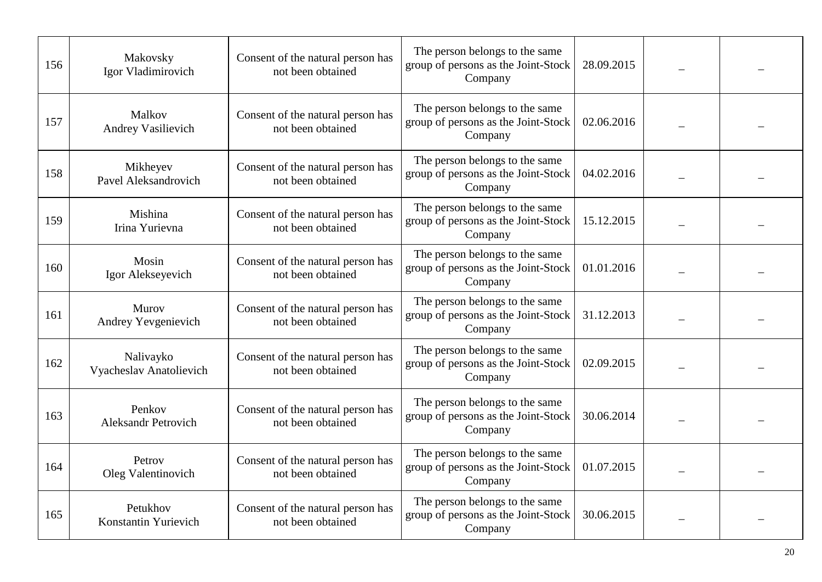| 156 | Makovsky<br>Igor Vladimirovich       | Consent of the natural person has<br>not been obtained | The person belongs to the same<br>group of persons as the Joint-Stock<br>Company | 28.09.2015 |  |
|-----|--------------------------------------|--------------------------------------------------------|----------------------------------------------------------------------------------|------------|--|
| 157 | Malkov<br>Andrey Vasilievich         | Consent of the natural person has<br>not been obtained | The person belongs to the same<br>group of persons as the Joint-Stock<br>Company | 02.06.2016 |  |
| 158 | Mikheyev<br>Pavel Aleksandrovich     | Consent of the natural person has<br>not been obtained | The person belongs to the same<br>group of persons as the Joint-Stock<br>Company | 04.02.2016 |  |
| 159 | Mishina<br>Irina Yurievna            | Consent of the natural person has<br>not been obtained | The person belongs to the same<br>group of persons as the Joint-Stock<br>Company | 15.12.2015 |  |
| 160 | Mosin<br>Igor Alekseyevich           | Consent of the natural person has<br>not been obtained | The person belongs to the same<br>group of persons as the Joint-Stock<br>Company | 01.01.2016 |  |
| 161 | Murov<br>Andrey Yevgenievich         | Consent of the natural person has<br>not been obtained | The person belongs to the same<br>group of persons as the Joint-Stock<br>Company | 31.12.2013 |  |
| 162 | Nalivayko<br>Vyacheslav Anatolievich | Consent of the natural person has<br>not been obtained | The person belongs to the same<br>group of persons as the Joint-Stock<br>Company | 02.09.2015 |  |
| 163 | Penkov<br><b>Aleksandr Petrovich</b> | Consent of the natural person has<br>not been obtained | The person belongs to the same<br>group of persons as the Joint-Stock<br>Company | 30.06.2014 |  |
| 164 | Petrov<br>Oleg Valentinovich         | Consent of the natural person has<br>not been obtained | The person belongs to the same<br>group of persons as the Joint-Stock<br>Company | 01.07.2015 |  |
| 165 | Petukhov<br>Konstantin Yurievich     | Consent of the natural person has<br>not been obtained | The person belongs to the same<br>group of persons as the Joint-Stock<br>Company | 30.06.2015 |  |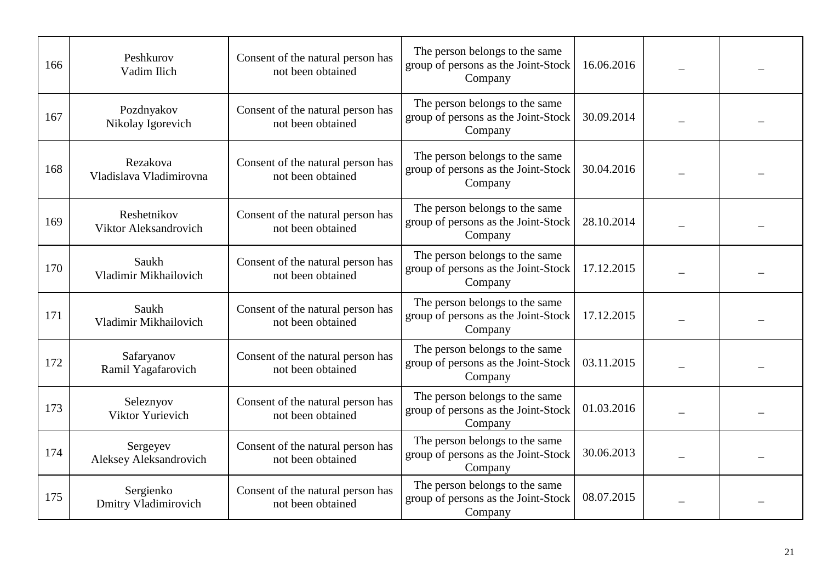| 166 | Peshkurov<br>Vadim Ilich             | Consent of the natural person has<br>not been obtained | The person belongs to the same<br>group of persons as the Joint-Stock<br>Company | 16.06.2016 |  |
|-----|--------------------------------------|--------------------------------------------------------|----------------------------------------------------------------------------------|------------|--|
| 167 | Pozdnyakov<br>Nikolay Igorevich      | Consent of the natural person has<br>not been obtained | The person belongs to the same<br>group of persons as the Joint-Stock<br>Company | 30.09.2014 |  |
| 168 | Rezakova<br>Vladislava Vladimirovna  | Consent of the natural person has<br>not been obtained | The person belongs to the same<br>group of persons as the Joint-Stock<br>Company | 30.04.2016 |  |
| 169 | Reshetnikov<br>Viktor Aleksandrovich | Consent of the natural person has<br>not been obtained | The person belongs to the same<br>group of persons as the Joint-Stock<br>Company | 28.10.2014 |  |
| 170 | Saukh<br>Vladimir Mikhailovich       | Consent of the natural person has<br>not been obtained | The person belongs to the same<br>group of persons as the Joint-Stock<br>Company | 17.12.2015 |  |
| 171 | Saukh<br>Vladimir Mikhailovich       | Consent of the natural person has<br>not been obtained | The person belongs to the same<br>group of persons as the Joint-Stock<br>Company | 17.12.2015 |  |
| 172 | Safaryanov<br>Ramil Yagafarovich     | Consent of the natural person has<br>not been obtained | The person belongs to the same<br>group of persons as the Joint-Stock<br>Company | 03.11.2015 |  |
| 173 | Seleznyov<br>Viktor Yurievich        | Consent of the natural person has<br>not been obtained | The person belongs to the same<br>group of persons as the Joint-Stock<br>Company | 01.03.2016 |  |
| 174 | Sergeyev<br>Aleksey Aleksandrovich   | Consent of the natural person has<br>not been obtained | The person belongs to the same<br>group of persons as the Joint-Stock<br>Company | 30.06.2013 |  |
| 175 | Sergienko<br>Dmitry Vladimirovich    | Consent of the natural person has<br>not been obtained | The person belongs to the same<br>group of persons as the Joint-Stock<br>Company | 08.07.2015 |  |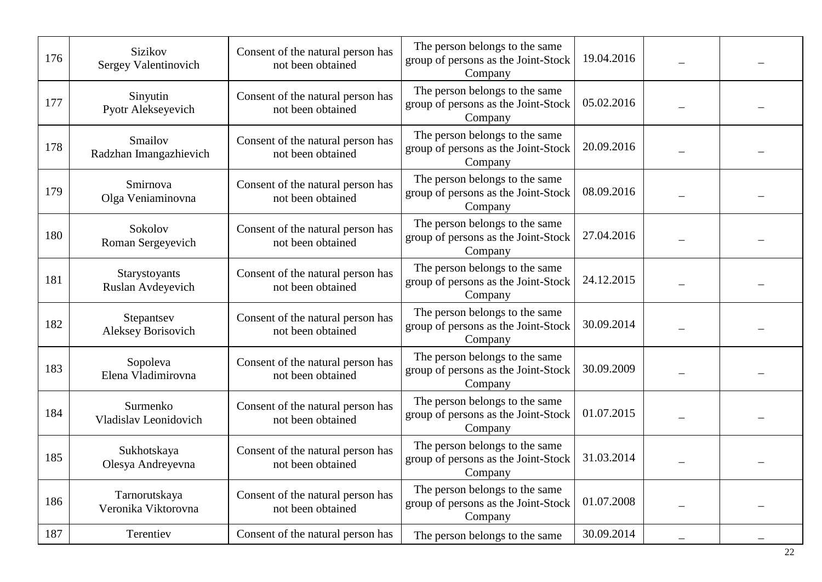| 176 | <b>Sizikov</b><br>Sergey Valentinovich  | Consent of the natural person has<br>not been obtained | The person belongs to the same<br>group of persons as the Joint-Stock<br>Company | 19.04.2016 |  |
|-----|-----------------------------------------|--------------------------------------------------------|----------------------------------------------------------------------------------|------------|--|
| 177 | Sinyutin<br>Pyotr Alekseyevich          | Consent of the natural person has<br>not been obtained | The person belongs to the same<br>group of persons as the Joint-Stock<br>Company | 05.02.2016 |  |
| 178 | Smailov<br>Radzhan Imangazhievich       | Consent of the natural person has<br>not been obtained | The person belongs to the same<br>group of persons as the Joint-Stock<br>Company | 20.09.2016 |  |
| 179 | Smirnova<br>Olga Veniaminovna           | Consent of the natural person has<br>not been obtained | The person belongs to the same<br>group of persons as the Joint-Stock<br>Company | 08.09.2016 |  |
| 180 | Sokolov<br>Roman Sergeyevich            | Consent of the natural person has<br>not been obtained | The person belongs to the same<br>group of persons as the Joint-Stock<br>Company | 27.04.2016 |  |
| 181 | Starystoyants<br>Ruslan Avdeyevich      | Consent of the natural person has<br>not been obtained | The person belongs to the same<br>group of persons as the Joint-Stock<br>Company | 24.12.2015 |  |
| 182 | Stepantsev<br><b>Aleksey Borisovich</b> | Consent of the natural person has<br>not been obtained | The person belongs to the same<br>group of persons as the Joint-Stock<br>Company | 30.09.2014 |  |
| 183 | Sopoleva<br>Elena Vladimirovna          | Consent of the natural person has<br>not been obtained | The person belongs to the same<br>group of persons as the Joint-Stock<br>Company | 30.09.2009 |  |
| 184 | Surmenko<br>Vladislav Leonidovich       | Consent of the natural person has<br>not been obtained | The person belongs to the same<br>group of persons as the Joint-Stock<br>Company | 01.07.2015 |  |
| 185 | Sukhotskaya<br>Olesya Andreyevna        | Consent of the natural person has<br>not been obtained | The person belongs to the same<br>group of persons as the Joint-Stock<br>Company | 31.03.2014 |  |
| 186 | Tarnorutskaya<br>Veronika Viktorovna    | Consent of the natural person has<br>not been obtained | The person belongs to the same<br>group of persons as the Joint-Stock<br>Company | 01.07.2008 |  |
| 187 | Terentiev                               | Consent of the natural person has                      | The person belongs to the same                                                   | 30.09.2014 |  |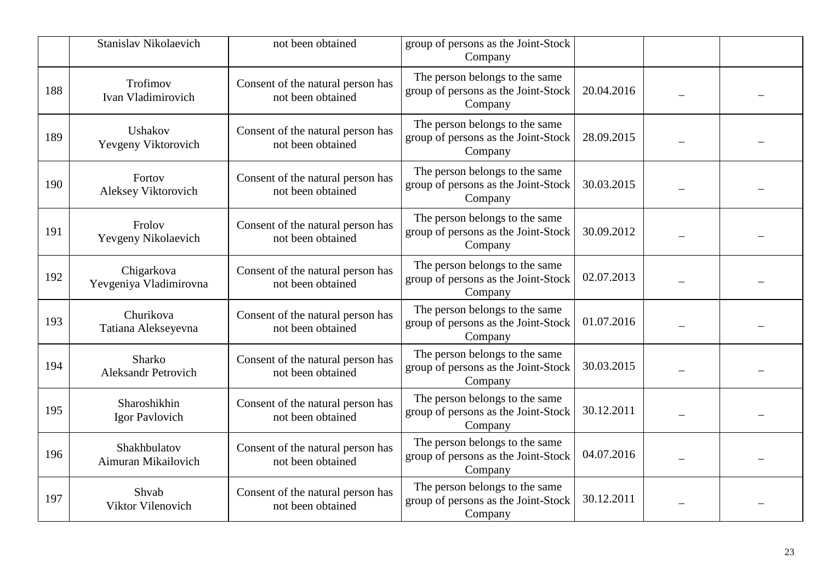|     | Stanislav Nikolaevich                | not been obtained                                      | group of persons as the Joint-Stock<br>Company                                   |            |  |
|-----|--------------------------------------|--------------------------------------------------------|----------------------------------------------------------------------------------|------------|--|
| 188 | Trofimov<br>Ivan Vladimirovich       | Consent of the natural person has<br>not been obtained | The person belongs to the same<br>group of persons as the Joint-Stock<br>Company | 20.04.2016 |  |
| 189 | Ushakov<br>Yevgeny Viktorovich       | Consent of the natural person has<br>not been obtained | The person belongs to the same<br>group of persons as the Joint-Stock<br>Company | 28.09.2015 |  |
| 190 | Fortov<br>Aleksey Viktorovich        | Consent of the natural person has<br>not been obtained | The person belongs to the same<br>group of persons as the Joint-Stock<br>Company | 30.03.2015 |  |
| 191 | Frolov<br>Yevgeny Nikolaevich        | Consent of the natural person has<br>not been obtained | The person belongs to the same<br>group of persons as the Joint-Stock<br>Company | 30.09.2012 |  |
| 192 | Chigarkova<br>Yevgeniya Vladimirovna | Consent of the natural person has<br>not been obtained | The person belongs to the same<br>group of persons as the Joint-Stock<br>Company | 02.07.2013 |  |
| 193 | Churikova<br>Tatiana Alekseyevna     | Consent of the natural person has<br>not been obtained | The person belongs to the same<br>group of persons as the Joint-Stock<br>Company | 01.07.2016 |  |
| 194 | Sharko<br>Aleksandr Petrovich        | Consent of the natural person has<br>not been obtained | The person belongs to the same<br>group of persons as the Joint-Stock<br>Company | 30.03.2015 |  |
| 195 | Sharoshikhin<br>Igor Pavlovich       | Consent of the natural person has<br>not been obtained | The person belongs to the same<br>group of persons as the Joint-Stock<br>Company | 30.12.2011 |  |
| 196 | Shakhbulatov<br>Aimuran Mikailovich  | Consent of the natural person has<br>not been obtained | The person belongs to the same<br>group of persons as the Joint-Stock<br>Company | 04.07.2016 |  |
| 197 | Shvab<br>Viktor Vilenovich           | Consent of the natural person has<br>not been obtained | The person belongs to the same<br>group of persons as the Joint-Stock<br>Company | 30.12.2011 |  |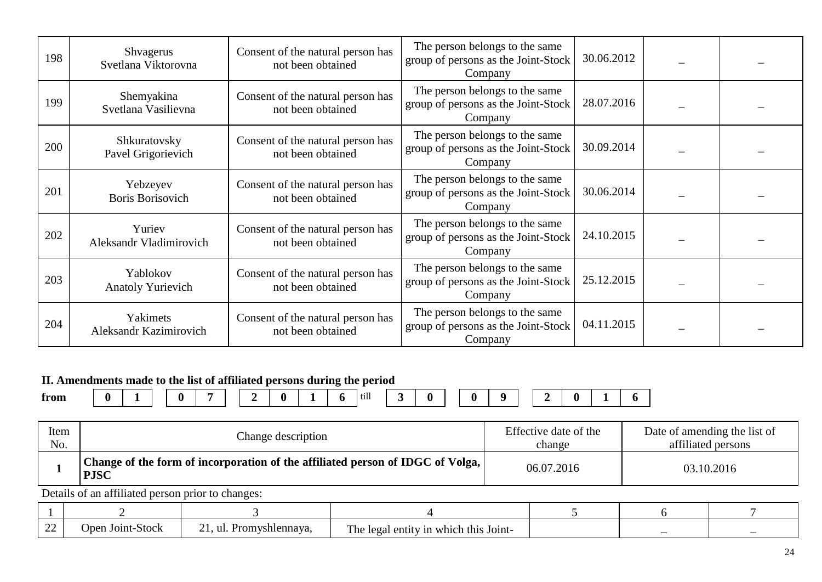| 198 | <b>Shvagerus</b><br>Svetlana Viktorovna   | Consent of the natural person has<br>not been obtained | The person belongs to the same<br>group of persons as the Joint-Stock<br>Company | 30.06.2012 |  |
|-----|-------------------------------------------|--------------------------------------------------------|----------------------------------------------------------------------------------|------------|--|
| 199 | Shemyakina<br>Svetlana Vasilievna         | Consent of the natural person has<br>not been obtained | The person belongs to the same<br>group of persons as the Joint-Stock<br>Company | 28.07.2016 |  |
| 200 | Shkuratovsky<br>Pavel Grigorievich        | Consent of the natural person has<br>not been obtained | The person belongs to the same<br>group of persons as the Joint-Stock<br>Company | 30.09.2014 |  |
| 201 | Yebzeyev<br><b>Boris Borisovich</b>       | Consent of the natural person has<br>not been obtained | The person belongs to the same<br>group of persons as the Joint-Stock<br>Company | 30.06.2014 |  |
| 202 | Yuriev<br>Aleksandr Vladimirovich         | Consent of the natural person has<br>not been obtained | The person belongs to the same<br>group of persons as the Joint-Stock<br>Company | 24.10.2015 |  |
| 203 | Yablokov<br><b>Anatoly Yurievich</b>      | Consent of the natural person has<br>not been obtained | The person belongs to the same<br>group of persons as the Joint-Stock<br>Company | 25.12.2015 |  |
| 204 | Yakimets<br><b>Aleksandr Kazimirovich</b> | Consent of the natural person has<br>not been obtained | The person belongs to the same<br>group of persons as the Joint-Stock<br>Company | 04.11.2015 |  |

## **II. Amendments made to the list of affiliated persons during the period**

**from 0 1 0 7 2 0 1 6** till **3 0 0 9 2 0 1 6**

| Item<br>No. | Change description                                                                            |                         |                                       | Effective date of the<br>change |  | Date of amending the list of<br>affiliated persons |
|-------------|-----------------------------------------------------------------------------------------------|-------------------------|---------------------------------------|---------------------------------|--|----------------------------------------------------|
|             | Change of the form of incorporation of the affiliated person of IDGC of Volga,<br><b>PJSC</b> |                         |                                       | 06.07.2016<br>03.10.2016        |  |                                                    |
|             | Details of an affiliated person prior to changes:                                             |                         |                                       |                                 |  |                                                    |
|             |                                                                                               |                         |                                       |                                 |  |                                                    |
| 22          | Open Joint-Stock                                                                              | 21, ul. Promyshlennaya, | The legal entity in which this Joint- |                                 |  |                                                    |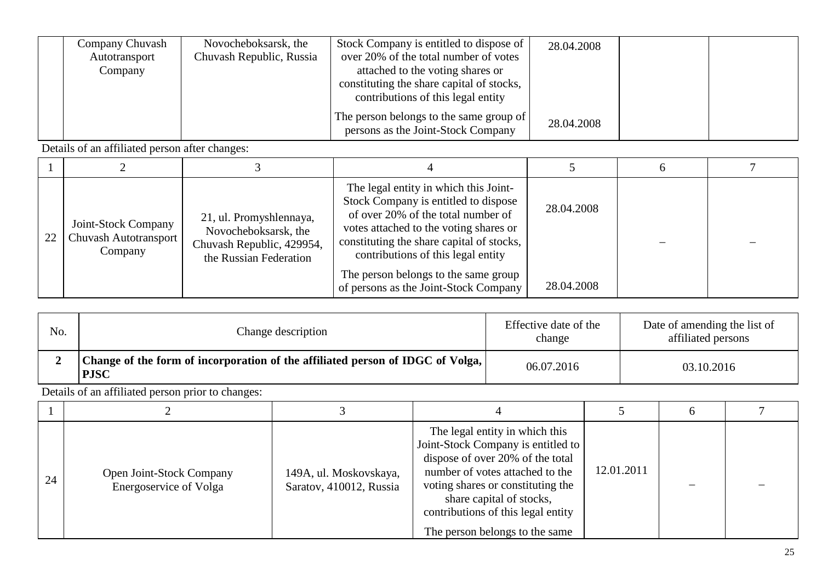| Company Chuvash<br>Autotransport<br>Company | Novocheboksarsk, the<br>Chuvash Republic, Russia | Stock Company is entitled to dispose of<br>over 20% of the total number of votes<br>attached to the voting shares or<br>constituting the share capital of stocks,<br>contributions of this legal entity | 28.04.2008 |  |
|---------------------------------------------|--------------------------------------------------|---------------------------------------------------------------------------------------------------------------------------------------------------------------------------------------------------------|------------|--|
|                                             |                                                  | The person belongs to the same group of<br>persons as the Joint-Stock Company                                                                                                                           | 28.04.2008 |  |

| 22 | Joint-Stock Company<br>Chuvash Autotransport<br>Company | 21, ul. Promyshlennaya,<br>Novocheboksarsk, the<br>Chuvash Republic, 429954,<br>the Russian Federation | The legal entity in which this Joint-<br>Stock Company is entitled to dispose<br>of over 20% of the total number of<br>votes attached to the voting shares or<br>constituting the share capital of stocks,<br>contributions of this legal entity<br>The person belongs to the same group | 28.04.2008<br>28.04.2008 |  |
|----|---------------------------------------------------------|--------------------------------------------------------------------------------------------------------|------------------------------------------------------------------------------------------------------------------------------------------------------------------------------------------------------------------------------------------------------------------------------------------|--------------------------|--|
|    |                                                         |                                                                                                        | of persons as the Joint-Stock Company                                                                                                                                                                                                                                                    |                          |  |

| No. | Change description                                                                            | Effective date of the<br>change | Date of amending the list of<br>affiliated persons |
|-----|-----------------------------------------------------------------------------------------------|---------------------------------|----------------------------------------------------|
|     | Change of the form of incorporation of the affiliated person of IDGC of Volga,<br><b>PJSC</b> | 06.07.2016                      | 03.10.2016                                         |

| 24 | Open Joint-Stock Company<br>Energoservice of Volga | 149A, ul. Moskovskaya,<br>Saratov, 410012, Russia | The legal entity in which this<br>Joint-Stock Company is entitled to<br>dispose of over 20% of the total<br>number of votes attached to the<br>voting shares or constituting the<br>share capital of stocks,<br>contributions of this legal entity<br>The person belongs to the same | 12.01.2011 |  |
|----|----------------------------------------------------|---------------------------------------------------|--------------------------------------------------------------------------------------------------------------------------------------------------------------------------------------------------------------------------------------------------------------------------------------|------------|--|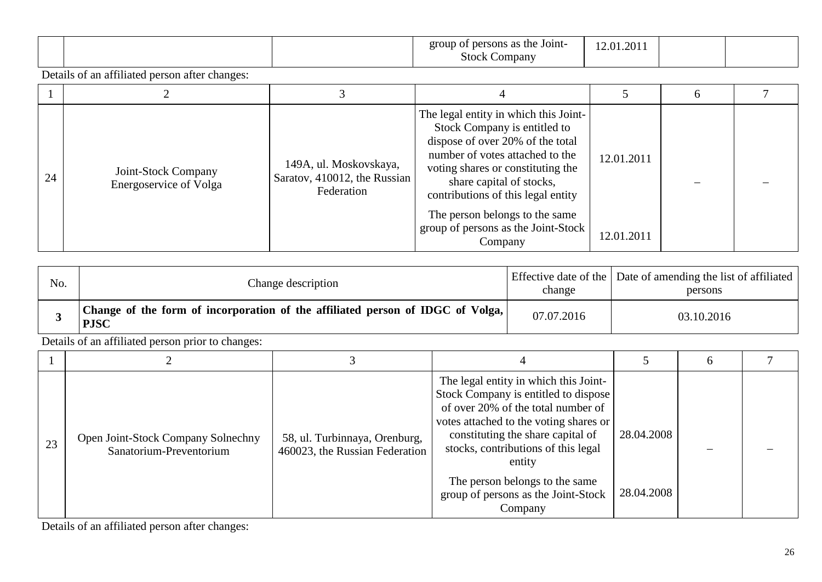|  | $\bullet$<br>Joint<br>the<br>orour<br>rsons<br>ำmpany<br>.stor | 20 |  |
|--|----------------------------------------------------------------|----|--|
|  |                                                                |    |  |

|    |                                                      |                                                                      |                                                                                                                                                                                                                                                                                                                                         |                          | h |  |
|----|------------------------------------------------------|----------------------------------------------------------------------|-----------------------------------------------------------------------------------------------------------------------------------------------------------------------------------------------------------------------------------------------------------------------------------------------------------------------------------------|--------------------------|---|--|
| 24 | Joint-Stock Company<br><b>Energoservice of Volga</b> | 149A, ul. Moskovskaya,<br>Saratov, 410012, the Russian<br>Federation | The legal entity in which this Joint-<br>Stock Company is entitled to<br>dispose of over 20% of the total<br>number of votes attached to the<br>voting shares or constituting the<br>share capital of stocks,<br>contributions of this legal entity<br>The person belongs to the same<br>group of persons as the Joint-Stock<br>Company | 12.01.2011<br>12.01.2011 |   |  |

| No. | Change description                                                                            | change     | Effective date of the   Date of amending the list of affiliated  <br>persons |
|-----|-----------------------------------------------------------------------------------------------|------------|------------------------------------------------------------------------------|
|     | Change of the form of incorporation of the affiliated person of IDGC of Volga,<br><b>PJSC</b> | 07.07.2016 | 03.10.2016                                                                   |

Details of an affiliated person prior to changes:

| 23 | Open Joint-Stock Company Solnechny<br>Sanatorium-Preventorium | 58, ul. Turbinnaya, Orenburg,<br>460023, the Russian Federation | The legal entity in which this Joint-<br>Stock Company is entitled to dispose<br>of over 20% of the total number of<br>votes attached to the voting shares or<br>constituting the share capital of<br>stocks, contributions of this legal<br>entity<br>The person belongs to the same<br>group of persons as the Joint-Stock | 28.04.2008<br>28.04.2008 |  |
|----|---------------------------------------------------------------|-----------------------------------------------------------------|------------------------------------------------------------------------------------------------------------------------------------------------------------------------------------------------------------------------------------------------------------------------------------------------------------------------------|--------------------------|--|
|    |                                                               |                                                                 | Company                                                                                                                                                                                                                                                                                                                      |                          |  |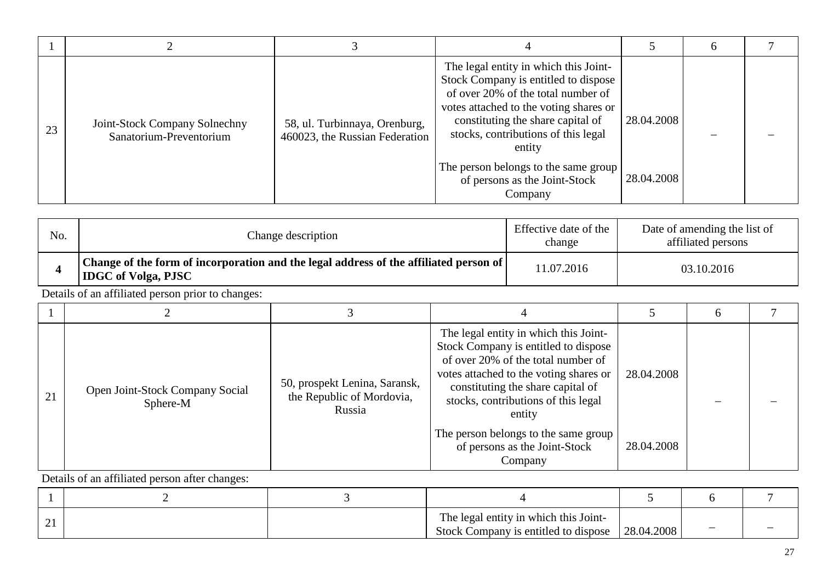| 23 | Joint-Stock Company Solnechny<br>Sanatorium-Preventorium | 58, ul. Turbinnaya, Orenburg,<br>460023, the Russian Federation | The legal entity in which this Joint-<br>Stock Company is entitled to dispose<br>of over 20% of the total number of<br>votes attached to the voting shares or<br>constituting the share capital of<br>stocks, contributions of this legal<br>entity<br>The person belongs to the same group<br>of persons as the Joint-Stock | 28.04.2008<br>28.04.2008 |  |
|----|----------------------------------------------------------|-----------------------------------------------------------------|------------------------------------------------------------------------------------------------------------------------------------------------------------------------------------------------------------------------------------------------------------------------------------------------------------------------------|--------------------------|--|
|    |                                                          |                                                                 | Company                                                                                                                                                                                                                                                                                                                      |                          |  |

| No. | Change description                                                                                                    | Effective date of the<br>change | Date of amending the list of<br>affiliated persons |
|-----|-----------------------------------------------------------------------------------------------------------------------|---------------------------------|----------------------------------------------------|
|     | Change of the form of incorporation and the legal address of the affiliated person of  <br><b>IDGC</b> of Volga, PJSC | 11.07.2016                      | 03.10.2016                                         |

| 21 | Open Joint-Stock Company Social<br>Sphere-M | 50, prospekt Lenina, Saransk,<br>the Republic of Mordovia,<br>Russia | The legal entity in which this Joint-<br>Stock Company is entitled to dispose<br>of over 20% of the total number of<br>votes attached to the voting shares or<br>constituting the share capital of<br>stocks, contributions of this legal<br>entity | 28.04.2008 |  |
|----|---------------------------------------------|----------------------------------------------------------------------|-----------------------------------------------------------------------------------------------------------------------------------------------------------------------------------------------------------------------------------------------------|------------|--|
|    |                                             |                                                                      | The person belongs to the same group<br>of persons as the Joint-Stock<br>Company                                                                                                                                                                    | 28.04.2008 |  |

| <u>_ 1</u> |  | The legal entity in which this Joint-<br>Stock Company is entitled to dispose | 28.04.2008 |  |
|------------|--|-------------------------------------------------------------------------------|------------|--|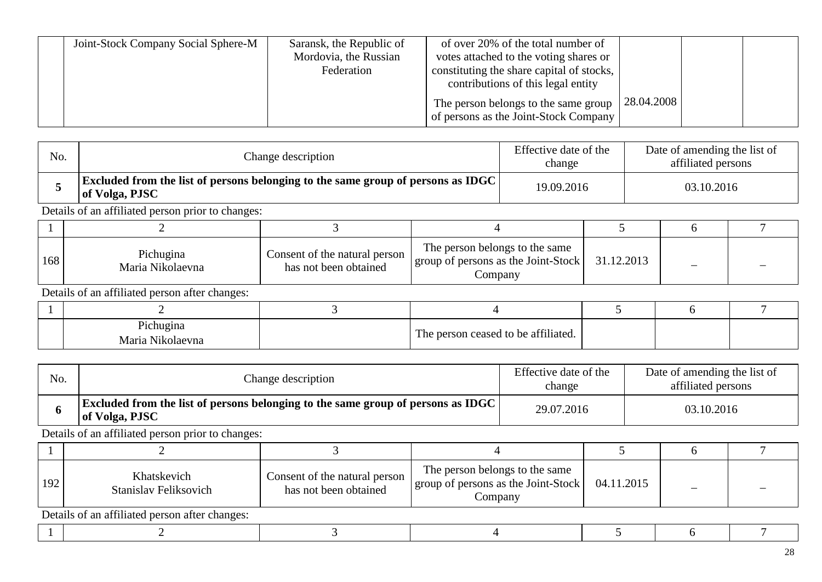| Joint-Stock Company Social Sphere-M | Saransk, the Republic of | of over 20% of the total number of                                            |             |  |
|-------------------------------------|--------------------------|-------------------------------------------------------------------------------|-------------|--|
|                                     | Mordovia, the Russian    | votes attached to the voting shares or                                        |             |  |
|                                     | Federation               | constituting the share capital of stocks,                                     |             |  |
|                                     |                          | contributions of this legal entity                                            |             |  |
|                                     |                          | The person belongs to the same group<br>of persons as the Joint-Stock Company | 128.04.2008 |  |

| No. | Change description                                                                                        | Effective date of the<br>change | Date of amending the list of<br>affiliated persons |
|-----|-----------------------------------------------------------------------------------------------------------|---------------------------------|----------------------------------------------------|
|     | <b>Excluded from the list of persons belonging to the same group of persons as IDGC</b><br>of Volga, PJSC | 19.09.2016                      | 03.10.2016                                         |

| 168 | Pichugina<br>Maria Nikolaevna | Consent of the natural person<br>has not been obtained | The person belongs to the same<br>$\lceil \cdot \rceil$   group of persons as the Joint-Stock  <br>Jompany | 31.12.2013 |  |
|-----|-------------------------------|--------------------------------------------------------|------------------------------------------------------------------------------------------------------------|------------|--|

Details of an affiliated person after changes:

| Pichugina<br><b>BT+1</b><br>Maria<br>Nikolaevna | ceased to be affiliated.<br>son |  |  |
|-------------------------------------------------|---------------------------------|--|--|

| No. | Change description                                                                                        | Effective date of the<br>change | Date of amending the list of<br>affiliated persons |
|-----|-----------------------------------------------------------------------------------------------------------|---------------------------------|----------------------------------------------------|
|     | <b>Excluded from the list of persons belonging to the same group of persons as IDGC</b><br>of Volga, PJSC | 29.07.2016                      | 03.10.2016                                         |

Details of an affiliated person prior to changes:

| 192 | Khatskevich<br>Stanislav Feliksovich                                                                                                                                                             | Consent of the natural person<br>has not been obtained | The person belongs to the same<br>group of persons as the Joint-Stock<br>Company | 04.11.2015 |  |
|-----|--------------------------------------------------------------------------------------------------------------------------------------------------------------------------------------------------|--------------------------------------------------------|----------------------------------------------------------------------------------|------------|--|
|     | $\mathbf{D}_{\mathcal{A}}$ and $\mathbf{C}_{\mathcal{A}}$ are a $\mathcal{L}(\mathcal{C}_{\mathcal{A}}^{n})$ and the set of $\mathcal{C}_{\mathcal{A}}$ are a set of $\mathcal{C}_{\mathcal{A}}$ |                                                        |                                                                                  |            |  |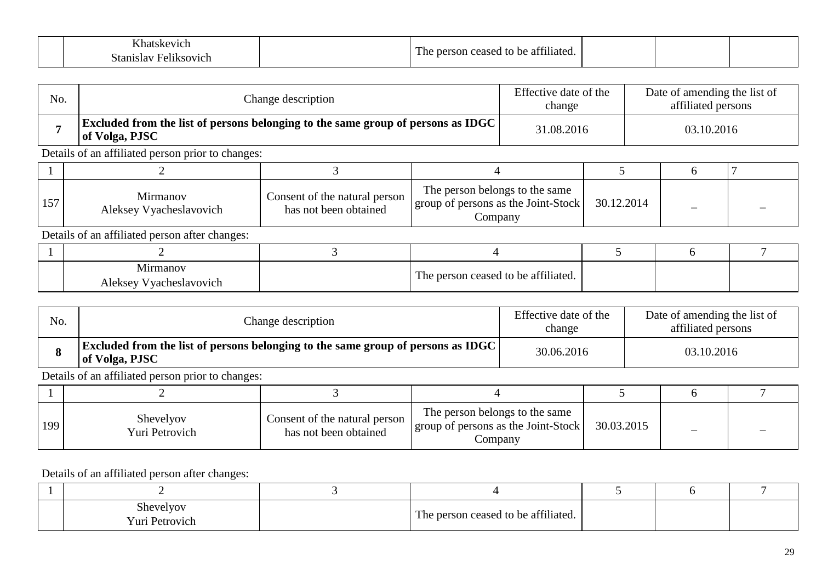|                                  | 0.0111<br>-         |  |  |
|----------------------------------|---------------------|--|--|
| .<br>. .<br>. .<br>91 Z I<br>,,, | liated.<br>Пt<br>,, |  |  |

| No. |                                                                                                           | Change description | Effective date of the<br>change | Date of amending the list of<br>affiliated persons |  |
|-----|-----------------------------------------------------------------------------------------------------------|--------------------|---------------------------------|----------------------------------------------------|--|
|     | <b>Excluded from the list of persons belonging to the same group of persons as IDGC</b><br>of Volga, PJSC |                    | 31.08.2016                      | 03.10.2016                                         |  |
|     | Details of an affiliated person prior to changes:                                                         |                    |                                 |                                                    |  |
|     |                                                                                                           |                    |                                 |                                                    |  |

| Mirmanov<br>Aleksey Vyacheslavovich | Consent of the natural person<br>has not been obtained | The person belongs to the same<br>group of persons as the Joint-Stock<br>Company | 30.12.2014 |  |
|-------------------------------------|--------------------------------------------------------|----------------------------------------------------------------------------------|------------|--|

| Mirmanov<br>Aleksey Vyacheslavovich | The person ceased to be affiliated. |  |  |
|-------------------------------------|-------------------------------------|--|--|

| No. | Change description                                                                                        | Effective date of the<br>change | Date of amending the list of<br>affiliated persons |
|-----|-----------------------------------------------------------------------------------------------------------|---------------------------------|----------------------------------------------------|
|     | <b>Excluded from the list of persons belonging to the same group of persons as IDGC</b><br>of Volga, PJSC | 30.06.2016                      | 03.10.2016                                         |

Details of an affiliated person prior to changes:

| 199 | Shevelyov<br>Yuri Petrovich | Consent of the natural person<br>has not been obtained | The person belongs to the same<br>group of persons as the Joint-Stock<br>Company | 30.03.2015 |  |
|-----|-----------------------------|--------------------------------------------------------|----------------------------------------------------------------------------------|------------|--|

| $\sim$ 1<br>Shevelyov<br>Yuri Petrovich | $\therefore$ consed to be affiliated.<br>1 he |  |  |
|-----------------------------------------|-----------------------------------------------|--|--|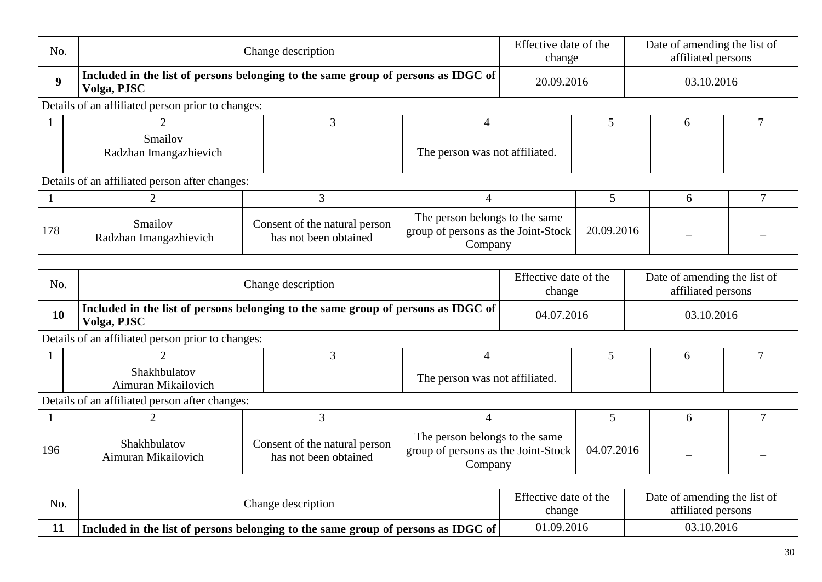| No.              | Change description                                |                                                                                   |                                | Effective date of the<br>change                                     |            | Date of amending the list of<br>affiliated persons |  |
|------------------|---------------------------------------------------|-----------------------------------------------------------------------------------|--------------------------------|---------------------------------------------------------------------|------------|----------------------------------------------------|--|
| $\boldsymbol{Q}$ | Volga, PJSC                                       | Included in the list of persons belonging to the same group of persons as IDGC of |                                |                                                                     | 20.09.2016 | 03.10.2016                                         |  |
|                  | Details of an affiliated person prior to changes: |                                                                                   |                                |                                                                     |            |                                                    |  |
|                  |                                                   |                                                                                   |                                |                                                                     |            |                                                    |  |
|                  | Smailov<br>Radzhan Imangazhievich                 |                                                                                   | The person was not affiliated. |                                                                     |            |                                                    |  |
|                  | Details of an affiliated person after changes:    |                                                                                   |                                |                                                                     |            |                                                    |  |
|                  |                                                   |                                                                                   |                                |                                                                     |            |                                                    |  |
| 170              | Smailov                                           | Consent of the natural person                                                     | The person belongs to the same | $\mathcal{C}$ and $\mathcal{T}$ and $\mathcal{C}$ and $\mathcal{T}$ | 20.00.201  |                                                    |  |

| 170<br>1/0 | <u>.</u><br>angazhievich<br>Ima<br>dzhan | Consent of the natural person<br>obtained<br>has not been | $\sim$<br>e Joint-Stock-<br>as the<br>group<br>* persons as<br>υı<br>ompany | 20.09.2016<br>7.2016 |                          |          |
|------------|------------------------------------------|-----------------------------------------------------------|-----------------------------------------------------------------------------|----------------------|--------------------------|----------|
|            |                                          |                                                           | $\mathbf{r}$ $\alpha$                                                       |                      | $\sim$ $\sim$<br>$\cdot$ | $\cdots$ |

| No. | Change description                                                                               | Effective date of the<br>change | Date of amending the list of<br>affiliated persons |
|-----|--------------------------------------------------------------------------------------------------|---------------------------------|----------------------------------------------------|
| 10  | Included in the list of persons belonging to the same group of persons as IDGC of<br>Volga, PJSC | 04.07.2016                      | 03.10.2016                                         |

| shakhbulatov<br>.<br>Mikailovich<br>Aımuran | m<br>0.0119<br>The person was not affiliated. |  |  |
|---------------------------------------------|-----------------------------------------------|--|--|

| 196 | Shakhbulatov<br>Aimuran Mikailovich | Consent of the natural person<br>has not been obtained | The person belongs to the same<br>I group of persons as the Joint-Stock<br>Company | 04.07.2016 |  |
|-----|-------------------------------------|--------------------------------------------------------|------------------------------------------------------------------------------------|------------|--|

| No. | Change description                                                                | Effective date of the<br>change | Date of amending the list of<br>affiliated persons |
|-----|-----------------------------------------------------------------------------------|---------------------------------|----------------------------------------------------|
| 11  | Included in the list of persons belonging to the same group of persons as IDGC of | 01.09.2016                      | 03.10.2016                                         |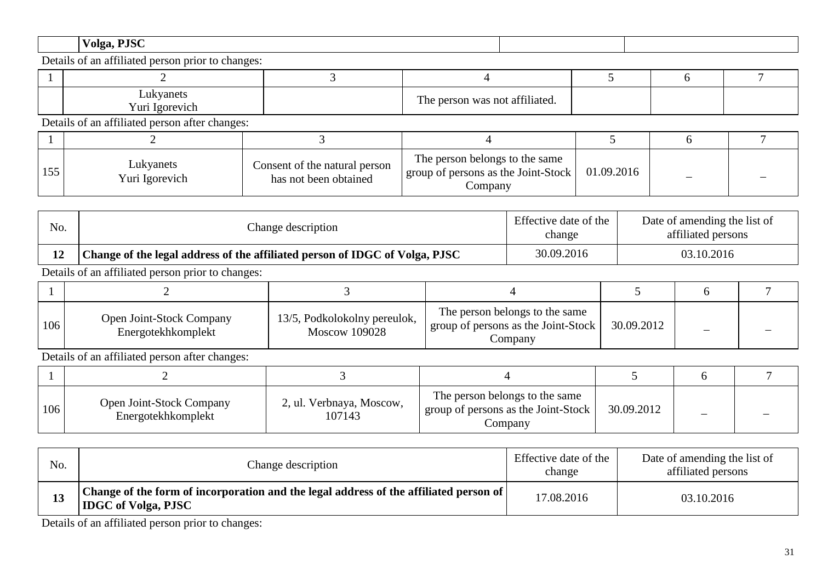| $V0192$ , $P^{TC}$ |  |
|--------------------|--|
|                    |  |

| ukvanets<br><b>LUN</b><br>Y un<br><u>Ισωτενμα</u> | <b>TT</b><br>person was not affiliated.<br>T HLC |  |  |
|---------------------------------------------------|--------------------------------------------------|--|--|

Details of an affiliated person after changes:

| 155 | Lukyanets<br>Yuri Igorevich | Consent of the natural person<br>has not been obtained | The person belongs to the same<br>group of persons as the Joint-Stock<br>Company | 01.09.2016 |  |
|-----|-----------------------------|--------------------------------------------------------|----------------------------------------------------------------------------------|------------|--|

| No. | Change description                                                          | Effective date of the<br>change | Date of amending the list of<br>affiliated persons |
|-----|-----------------------------------------------------------------------------|---------------------------------|----------------------------------------------------|
|     | Change of the legal address of the affiliated person of IDGC of Volga, PJSC | 30.09.2016                      | 03.10.2016                                         |

Details of an affiliated person prior to changes:

| 106 | <b>Open Joint-Stock Company</b><br>Energotekhkomplekt | 13/5, Podkolokolny pereulok,<br><b>Moscow 109028</b> | The person belongs to the same<br>$\frac{1}{2}$ group of persons as the Joint-Stock $\frac{1}{2}$<br>Company | 30.09.2012 |  |
|-----|-------------------------------------------------------|------------------------------------------------------|--------------------------------------------------------------------------------------------------------------|------------|--|

Details of an affiliated person after changes:

| 106 | Open Joint-Stock Company<br>Energotekhkomplekt | 2, ul. Verbnaya, Moscow,<br>107143 | The person belongs to the same<br>group of persons as the Joint-Stock<br>Company | 30.09.2012 | - |  |
|-----|------------------------------------------------|------------------------------------|----------------------------------------------------------------------------------|------------|---|--|

| No. | Change description                                                                                                  | Effective date of the<br>change | Date of amending the list of<br>affiliated persons |
|-----|---------------------------------------------------------------------------------------------------------------------|---------------------------------|----------------------------------------------------|
| LJ  | Change of the form of incorporation and the legal address of the affiliated person of<br><b>IDGC</b> of Volga, PJSC | 17.08.2016                      | 03.10.2016                                         |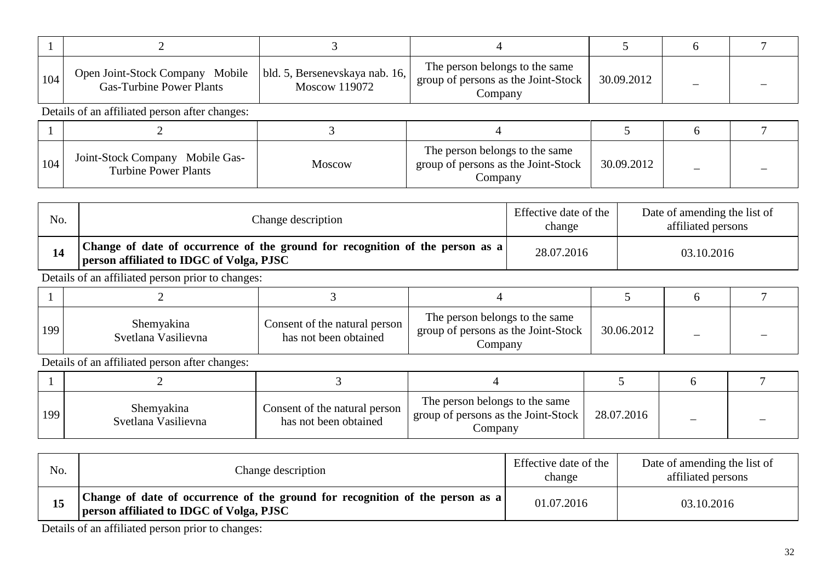| 104 | Open Joint-Stock Company Mobile<br><b>Gas-Turbine Power Plants</b> | bld. 5, Bersenevskaya nab. 16,<br>Moscow 119072 | The person belongs to the same<br>group of persons as the Joint-Stock<br>Company | 30.09.2012 |  |  |  |  |
|-----|--------------------------------------------------------------------|-------------------------------------------------|----------------------------------------------------------------------------------|------------|--|--|--|--|
|     | Details of an affiliated person after changes:                     |                                                 |                                                                                  |            |  |  |  |  |
|     |                                                                    |                                                 |                                                                                  |            |  |  |  |  |
| 104 | Joint-Stock Company Mobile Gas-<br><b>Turbine Power Plants</b>     | <b>Moscow</b>                                   | The person belongs to the same<br>group of persons as the Joint-Stock<br>Company | 30.09.2012 |  |  |  |  |

| No. | Change description                                                                                                        | Effective date of the<br>change | Date of amending the list of<br>affiliated persons |
|-----|---------------------------------------------------------------------------------------------------------------------------|---------------------------------|----------------------------------------------------|
|     | Change of date of occurrence of the ground for recognition of the person as a<br>person affiliated to IDGC of Volga, PJSC | 28.07.2016                      | 03.10.2016                                         |

| 199 | Shemyakina<br>Svetlana Vasilievna | Consent of the natural person 1<br>has not been obtained | The person belongs to the same<br>group of persons as the Joint-Stock<br>Company | 30.06.2012 |  |
|-----|-----------------------------------|----------------------------------------------------------|----------------------------------------------------------------------------------|------------|--|

Details of an affiliated person after changes:

| 199 | Shemyakina<br>Svetlana Vasilievna | Consent of the natural person<br>has not been obtained | The person belongs to the same<br>I group of persons as the Joint-Stock<br>Company | 28.07.2016 |  |
|-----|-----------------------------------|--------------------------------------------------------|------------------------------------------------------------------------------------|------------|--|

| No. | Change description                                                                                                               | Effective date of the<br>change | Date of amending the list of<br>affiliated persons |
|-----|----------------------------------------------------------------------------------------------------------------------------------|---------------------------------|----------------------------------------------------|
|     | Change of date of occurrence of the ground for recognition of the person as a<br><b>person affiliated to IDGC of Volga, PJSC</b> | 01.07.2016                      | 03.10.2016                                         |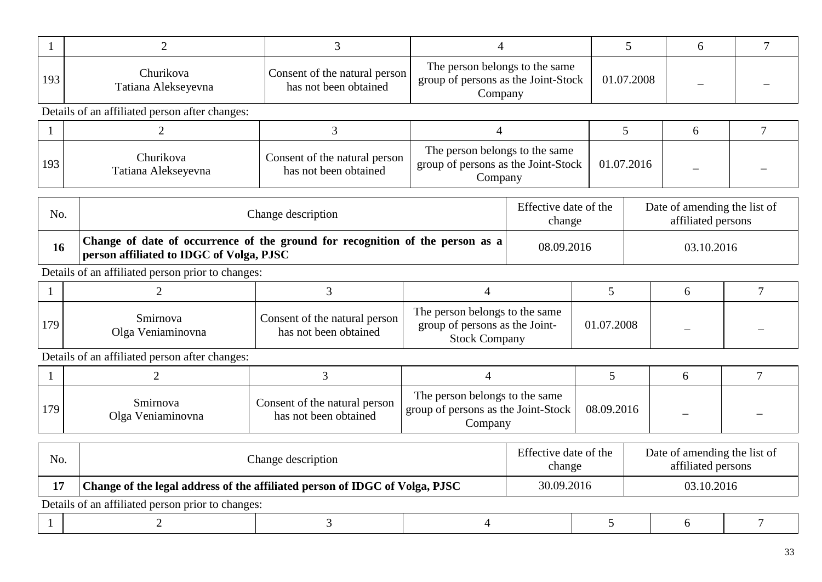| 193 | Churikova<br>Tatiana Alekseyevna               | Consent of the natural person<br>has not been obtained | The person belongs to the same<br>group of persons as the Joint-Stock<br>Company | 01.07.2008 |  |  |  |
|-----|------------------------------------------------|--------------------------------------------------------|----------------------------------------------------------------------------------|------------|--|--|--|
|     | Details of an affiliated person after changes: |                                                        |                                                                                  |            |  |  |  |
|     |                                                |                                                        |                                                                                  |            |  |  |  |
| 193 | Churikova<br>Tatiana Alekseyevna               | Consent of the natural person<br>has not been obtained | The person belongs to the same<br>group of persons as the Joint-Stock<br>Company | 01.07.2016 |  |  |  |

| No. | Change description                                                                                                        | Effective date of the<br>change | Date of amending the list of<br>affiliated persons |
|-----|---------------------------------------------------------------------------------------------------------------------------|---------------------------------|----------------------------------------------------|
| 16  | Change of date of occurrence of the ground for recognition of the person as a<br>person affiliated to IDGC of Volga, PJSC | 08.09.2016                      | 03.10.2016                                         |

| 179 | <i>Smirnova</i><br>Olga Veniaminovna | Consent of the natural person<br>has not been obtained | The person belongs to the same<br>group of persons as the Joint-<br><b>Stock Company</b> | 01.07.2008 |  |
|-----|--------------------------------------|--------------------------------------------------------|------------------------------------------------------------------------------------------|------------|--|

| 179 | Smirnova<br>Olga Veniaminovna | Consent of the natural person<br>has not been obtained | The person belongs to the same<br>I group of persons as the Joint-Stock<br>$\mathcal{L}$ ompany | 08.09.2016 |  |
|-----|-------------------------------|--------------------------------------------------------|-------------------------------------------------------------------------------------------------|------------|--|

| No. | Change description                                                          |  | Effective date of the<br>change |            | Date of amending the list of<br>affiliated persons |            |  |  |
|-----|-----------------------------------------------------------------------------|--|---------------------------------|------------|----------------------------------------------------|------------|--|--|
|     | Change of the legal address of the affiliated person of IDGC of Volga, PJSC |  |                                 | 30.09.2016 |                                                    | 03.10.2016 |  |  |
|     | Details of an affiliated person prior to changes:                           |  |                                 |            |                                                    |            |  |  |
|     |                                                                             |  |                                 |            |                                                    |            |  |  |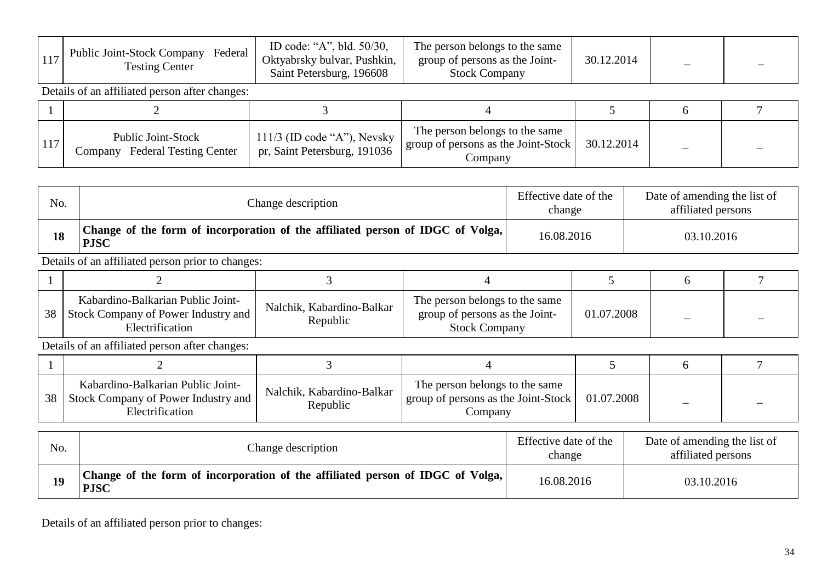|  | <b>Public Joint-Stock Company</b><br>Federal<br><b>Testing Center</b> | ID code: "A", bld. 50/30,<br>Oktyabrsky bulvar, Pushkin,<br>Saint Petersburg, 196608 | The person belongs to the same<br>group of persons as the Joint-<br><b>Stock Company</b> | 30.12.2014 |  |  |
|--|-----------------------------------------------------------------------|--------------------------------------------------------------------------------------|------------------------------------------------------------------------------------------|------------|--|--|
|--|-----------------------------------------------------------------------|--------------------------------------------------------------------------------------|------------------------------------------------------------------------------------------|------------|--|--|

| 11 <sup>7</sup> | Public Joint-Stock<br><b>Federal Testing Center</b><br>Company | $111/3$ (ID code "A"), Nevsky<br>pr, Saint Petersburg, 191036 | The person belongs to the same<br>$\prime$   group of persons as the Joint-Stock   $\sim$<br>$\mathcal{L}$ ompany | 30.12.2014 |  |
|-----------------|----------------------------------------------------------------|---------------------------------------------------------------|-------------------------------------------------------------------------------------------------------------------|------------|--|

| No. | Change description                                                                            |                          |                                | Effective date of the<br>change |  | Date of amending the list of<br>affiliated persons |  |  |
|-----|-----------------------------------------------------------------------------------------------|--------------------------|--------------------------------|---------------------------------|--|----------------------------------------------------|--|--|
| 18  | Change of the form of incorporation of the affiliated person of IDGC of Volga,<br><b>PJSC</b> |                          |                                | 16.08.2016                      |  | 03.10.2016                                         |  |  |
|     | Details of an affiliated person prior to changes:                                             |                          |                                |                                 |  |                                                    |  |  |
|     |                                                                                               |                          |                                |                                 |  |                                                    |  |  |
|     | Kabardino-Balkarian Public Joint-                                                             | Nalchik Kabardina Ralkar | The person belongs to the same |                                 |  |                                                    |  |  |

| 38 | - Rabarumo-Dairahan Fubile Jonne<br>Company of Power Industry and<br>- Stock 1 | Nalchik.<br>-Balkar<br>. Kabardino-<br>enublic' | The person befores to the same<br>group of persons as the Joint-<br>Stock (<br>Company | .2008 |  |  |
|----|--------------------------------------------------------------------------------|-------------------------------------------------|----------------------------------------------------------------------------------------|-------|--|--|
|----|--------------------------------------------------------------------------------|-------------------------------------------------|----------------------------------------------------------------------------------------|-------|--|--|

Details of an affiliated person after changes:

| 38 | Kabardino-Balkarian Public Joint-<br>Stock Company of Power Industry and<br>Electrification | Nalchik, Kabardino-Balkar<br>Republic | The person belongs to the same<br>group of persons as the Joint-Stock<br>Company | 01.07.2008 |  |
|----|---------------------------------------------------------------------------------------------|---------------------------------------|----------------------------------------------------------------------------------|------------|--|

| No. | Change description                                                                            | Effective date of the<br>change | Date of amending the list of<br>affiliated persons |
|-----|-----------------------------------------------------------------------------------------------|---------------------------------|----------------------------------------------------|
|     | Change of the form of incorporation of the affiliated person of IDGC of Volga,<br><b>PJSC</b> | 16.08.2016                      | 03.10.2016                                         |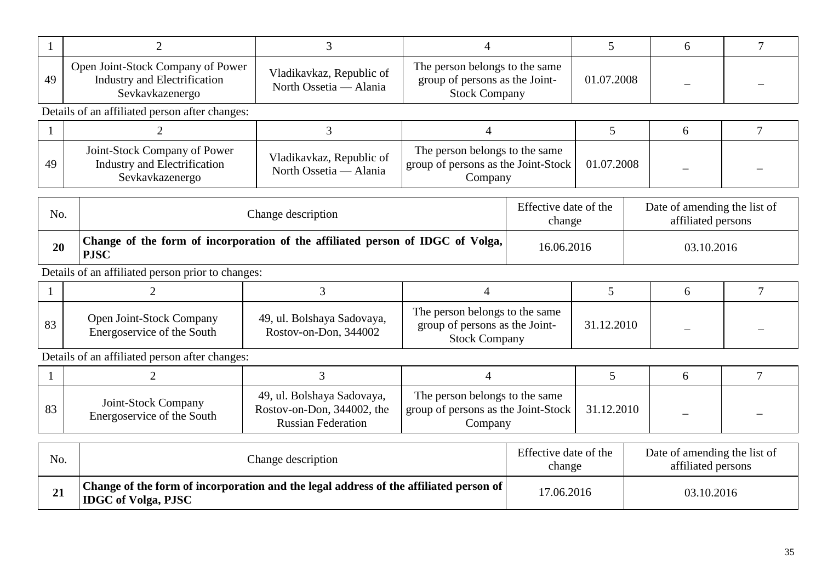|     | $\overline{2}$                                                                       | 3                                                                                     |                                                                                                |  | 5                               |  | 6                                                  |                |
|-----|--------------------------------------------------------------------------------------|---------------------------------------------------------------------------------------|------------------------------------------------------------------------------------------------|--|---------------------------------|--|----------------------------------------------------|----------------|
| 49  | Open Joint-Stock Company of Power<br>Industry and Electrification<br>Sevkavkazenergo | Vladikavkaz, Republic of<br>North Ossetia — Alania                                    | The person belongs to the same<br>group of persons as the Joint-<br><b>Stock Company</b>       |  | 01.07.2008                      |  |                                                    |                |
|     | Details of an affiliated person after changes:                                       |                                                                                       |                                                                                                |  |                                 |  |                                                    |                |
|     | $\overline{2}$                                                                       | 3                                                                                     | $\overline{4}$                                                                                 |  | 5                               |  | 6                                                  | $\overline{7}$ |
| 49  | Joint-Stock Company of Power<br>Industry and Electrification<br>Sevkavkazenergo      | Vladikavkaz, Republic of<br>North Ossetia — Alania                                    | The person belongs to the same<br>group of persons as the Joint-Stock<br>01.07.2008<br>Company |  |                                 |  |                                                    |                |
| No. |                                                                                      | Change description                                                                    |                                                                                                |  | Effective date of the<br>change |  | Date of amending the list of<br>affiliated persons |                |
| 20  | <b>PJSC</b>                                                                          | Change of the form of incorporation of the affiliated person of IDGC of Volga,        |                                                                                                |  | 16.06.2016                      |  |                                                    | 03.10.2016     |
|     | Details of an affiliated person prior to changes:                                    |                                                                                       |                                                                                                |  |                                 |  |                                                    |                |
|     | 2                                                                                    | 3                                                                                     | $\overline{4}$                                                                                 |  | 5                               |  | 6                                                  | 7              |
| 83  | Open Joint-Stock Company<br>Energoservice of the South                               | 49, ul. Bolshaya Sadovaya,<br>Rostov-on-Don, 344002                                   | The person belongs to the same<br>group of persons as the Joint-<br><b>Stock Company</b>       |  | 31.12.2010                      |  |                                                    |                |
|     | Details of an affiliated person after changes:                                       |                                                                                       |                                                                                                |  |                                 |  |                                                    |                |
|     | $\overline{2}$                                                                       | $\overline{3}$                                                                        | 4                                                                                              |  | 5                               |  | 6                                                  | 7              |
| 83  | Joint-Stock Company<br>Energoservice of the South                                    | 49, ul. Bolshaya Sadovaya,<br>Rostov-on-Don, 344002, the<br><b>Russian Federation</b> | The person belongs to the same<br>group of persons as the Joint-Stock<br>Company               |  | 31.12.2010                      |  |                                                    |                |

| No.        | Change description                                                                                                                      | Effective date of the<br>change | Date of amending the list of<br>affiliated persons |
|------------|-----------------------------------------------------------------------------------------------------------------------------------------|---------------------------------|----------------------------------------------------|
| $\angle L$ | $\perp$ Change of the form of incorporation and the legal address of the affiliated person of $\parallel$<br><b>IDGC</b> of Volga, PJSC | 17.06.2016                      | 03.10.2016                                         |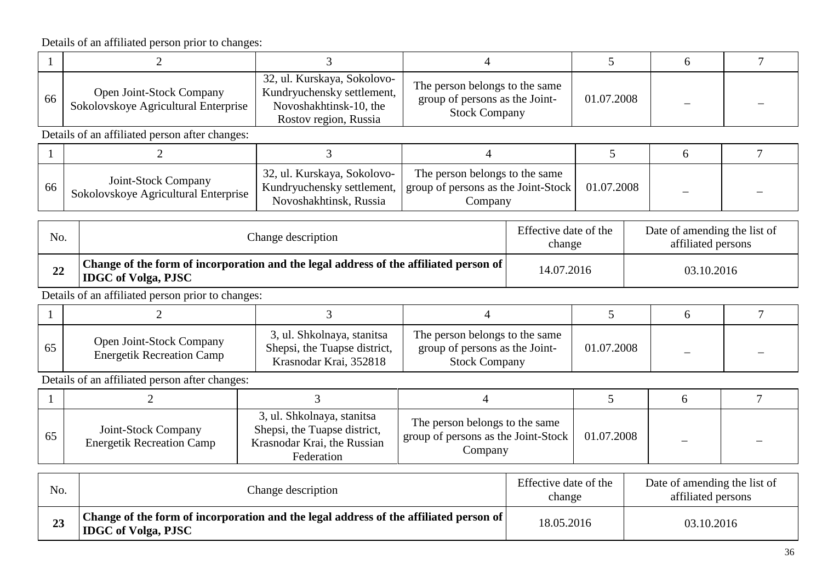| 66 | Open Joint-Stock Company<br>Sokolovskoye Agricultural Enterprise | 32, ul. Kurskaya, Sokolovo-<br>Kundryuchensky settlement,<br>Novoshakhtinsk-10, the<br>Rostov region, Russia | The person belongs to the same<br>group of persons as the Joint-<br><b>Stock Company</b> | 01.07.2008 |  |  |  |  |
|----|------------------------------------------------------------------|--------------------------------------------------------------------------------------------------------------|------------------------------------------------------------------------------------------|------------|--|--|--|--|
|    | Details of an affiliated person after changes:                   |                                                                                                              |                                                                                          |            |  |  |  |  |
|    |                                                                  |                                                                                                              |                                                                                          |            |  |  |  |  |
|    |                                                                  | $\Delta \Delta = 1$ $\overline{17}$ $\overline{1}$<br>$\sim$ 1 1                                             | <b>FIRE</b><br>$\mathbf{1}$ $\mathbf{1}$                                                 |            |  |  |  |  |

| 66 | Joint-Stock Company<br>Sokolovskove Agricultural Enterprise | 32, ul. Kurskaya, Sokolovo-<br>Novoshakhtinsk. Russia | The person belongs to the same<br>Kundryuchensky settlement,   group of persons as the Joint-Stock  <br>ompany | .2008<br>01.07 | _ | _ |  |
|----|-------------------------------------------------------------|-------------------------------------------------------|----------------------------------------------------------------------------------------------------------------|----------------|---|---|--|
|----|-------------------------------------------------------------|-------------------------------------------------------|----------------------------------------------------------------------------------------------------------------|----------------|---|---|--|

| No. | Change description                                                                                                  | Effective date of the<br>change | Date of amending the list of<br>affiliated persons |
|-----|---------------------------------------------------------------------------------------------------------------------|---------------------------------|----------------------------------------------------|
| 22  | Change of the form of incorporation and the legal address of the affiliated person of<br><b>IDGC</b> of Volga, PJSC | 14.07.2016                      | 03.10.2016                                         |

Details of an affiliated person prior to changes:

| 65 | <b>Open Joint-Stock Company</b><br><b>Energetik Recreation Camp</b> | 3, ul. Shkolnaya, stanitsa<br>Shepsi, the Tuapse district,<br>Krasnodar Krai, 352818 | The person belongs to the same<br>group of persons as the Joint-<br><b>Stock Company</b> | 01.07.2008 |  |
|----|---------------------------------------------------------------------|--------------------------------------------------------------------------------------|------------------------------------------------------------------------------------------|------------|--|

| 65 | Joint-Stock Company<br><b>Energetik Recreation Camp</b> | 3, ul. Shkolnaya, stanitsa<br>Shepsi, the Tuapse district,<br>Krasnodar Krai, the Russian<br>Federation | The person belongs to the same<br>group of persons as the Joint-Stock  <br>Company | 01.07.2008 |  |
|----|---------------------------------------------------------|---------------------------------------------------------------------------------------------------------|------------------------------------------------------------------------------------|------------|--|

| No. | Change description                                                                                                    | Effective date of the<br>change | Date of amending the list of<br>affiliated persons |
|-----|-----------------------------------------------------------------------------------------------------------------------|---------------------------------|----------------------------------------------------|
|     | Change of the form of incorporation and the legal address of the affiliated person of  <br><b>IDGC</b> of Volga, PJSC | 18.05.2016                      | 03.10.2016                                         |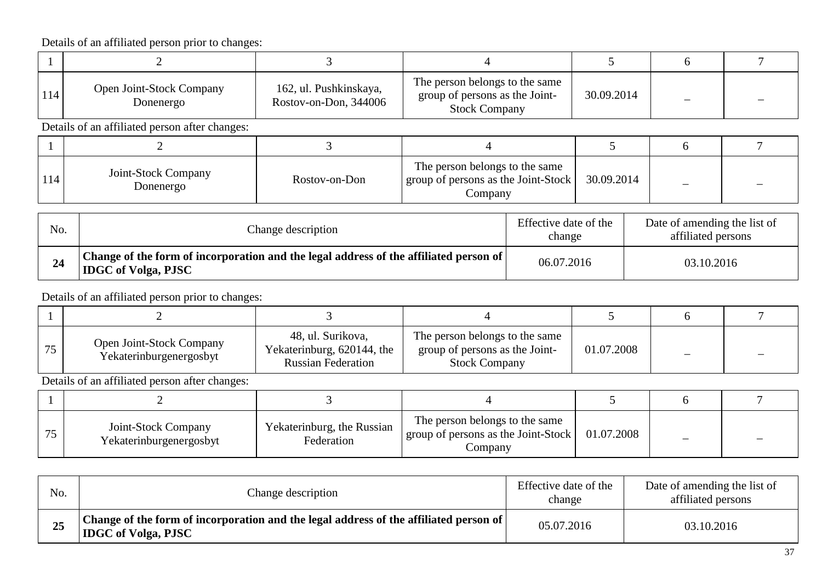| Open Joint-Stock Company<br>Donenergo | 162, ul. Pushkinskaya,<br>Rostov-on-Don, 344006 | The person belongs to the same<br>group of persons as the Joint-<br><b>Stock Company</b> | 30.09.2014 |  |
|---------------------------------------|-------------------------------------------------|------------------------------------------------------------------------------------------|------------|--|

Details of an affiliated person after changes:

| 114 | Joint-Stock Company<br>Donenergo | Rostov-on-Don | The person belongs to the same<br>group of persons as the Joint-Stock<br>Company | 30.09.2014 |  |
|-----|----------------------------------|---------------|----------------------------------------------------------------------------------|------------|--|

| No. | Change description                                                                                                                 | Effective date of the<br>change | Date of amending the list of<br>affiliated persons |
|-----|------------------------------------------------------------------------------------------------------------------------------------|---------------------------------|----------------------------------------------------|
|     | <sup>1</sup> Change of the form of incorporation and the legal address of the affiliated person of  <br><b>IDGC</b> of Volga, PJSC | 06.07.2016                      | 03.10.2016                                         |

Details of an affiliated person prior to changes:

| Open Joint-Stock Company<br>Yekaterinburgenergosbyt | 48, ul. Surikova,<br>Yekaterinburg, 620144, the<br><b>Russian Federation</b> | The person belongs to the same<br>group of persons as the Joint-<br><b>Stock Company</b> | 01.07.2008 |  |
|-----------------------------------------------------|------------------------------------------------------------------------------|------------------------------------------------------------------------------------------|------------|--|

| Joint-Stock Company<br>Yekaterinburgenergosbyt | Yekaterinburg, the Russian<br>Federation | The person belongs to the same<br>group of persons as the Joint-Stock<br>Company | 01.07.2008 |  |
|------------------------------------------------|------------------------------------------|----------------------------------------------------------------------------------|------------|--|

| No. | Change description                                                                                                  | Effective date of the<br>change | Date of amending the list of<br>affiliated persons |
|-----|---------------------------------------------------------------------------------------------------------------------|---------------------------------|----------------------------------------------------|
| 25  | Change of the form of incorporation and the legal address of the affiliated person of<br><b>IDGC</b> of Volga, PJSC | 05.07.2016                      | 03.10.2016                                         |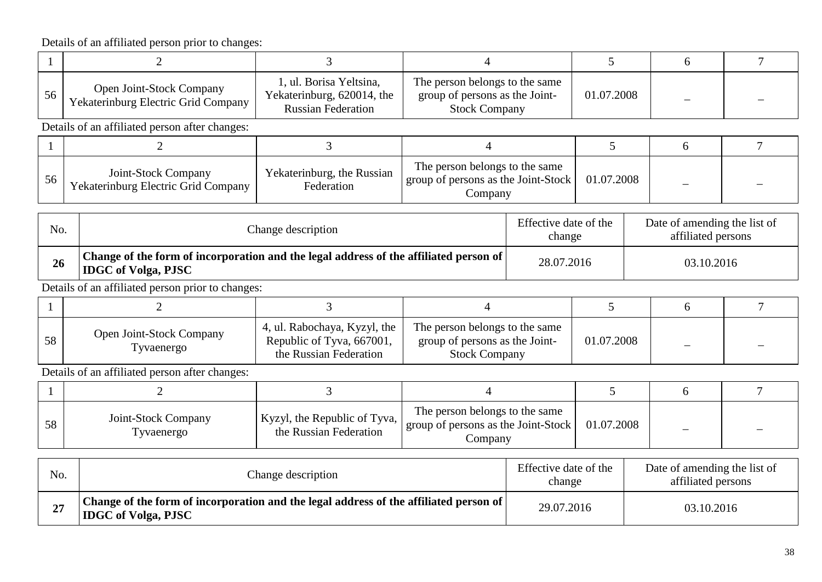|     | $\overline{2}$                                                                                                      | 3                                                                                   | 4                                                                                        |  | 5                                                  |  | 6          | 7              |
|-----|---------------------------------------------------------------------------------------------------------------------|-------------------------------------------------------------------------------------|------------------------------------------------------------------------------------------|--|----------------------------------------------------|--|------------|----------------|
| 56  | Open Joint-Stock Company<br>Yekaterinburg Electric Grid Company                                                     | 1, ul. Borisa Yeltsina,<br>Yekaterinburg, 620014, the<br><b>Russian Federation</b>  | The person belongs to the same<br>group of persons as the Joint-<br><b>Stock Company</b> |  | 01.07.2008                                         |  |            |                |
|     | Details of an affiliated person after changes:                                                                      |                                                                                     |                                                                                          |  |                                                    |  |            |                |
|     | $\overline{2}$                                                                                                      | 3                                                                                   | 4                                                                                        |  | 5                                                  |  | 6          | $\overline{7}$ |
| 56  | Joint-Stock Company<br>Yekaterinburg Electric Grid Company                                                          | Yekaterinburg, the Russian<br>Federation                                            | The person belongs to the same<br>group of persons as the Joint-Stock<br>Company         |  | 01.07.2008                                         |  |            |                |
| No. | Effective date of the<br>Change description<br>change                                                               |                                                                                     |                                                                                          |  | Date of amending the list of<br>affiliated persons |  |            |                |
| 26  | Change of the form of incorporation and the legal address of the affiliated person of<br><b>IDGC</b> of Volga, PJSC |                                                                                     | 28.07.2016                                                                               |  |                                                    |  | 03.10.2016 |                |
|     | Details of an affiliated person prior to changes:                                                                   |                                                                                     |                                                                                          |  |                                                    |  |            |                |
|     | $\overline{2}$                                                                                                      | $\overline{3}$                                                                      | $\overline{4}$                                                                           |  | 5                                                  |  | 6          | $\overline{7}$ |
| 58  | Open Joint-Stock Company<br>Tyvaenergo                                                                              | 4, ul. Rabochaya, Kyzyl, the<br>Republic of Tyva, 667001,<br>the Russian Federation | The person belongs to the same<br>group of persons as the Joint-<br><b>Stock Company</b> |  | 01.07.2008                                         |  |            |                |
|     | Details of an affiliated person after changes:                                                                      |                                                                                     |                                                                                          |  |                                                    |  |            |                |
|     | $\overline{2}$                                                                                                      | 3                                                                                   | 4                                                                                        |  | 5                                                  |  | 6          | $\tau$         |
| 58  | Joint-Stock Company<br>Tyvaenergo                                                                                   | Kyzyl, the Republic of Tyva,<br>the Russian Federation                              | The person belongs to the same<br>group of persons as the Joint-Stock<br>Company         |  | 01.07.2008                                         |  |            |                |
|     |                                                                                                                     |                                                                                     |                                                                                          |  |                                                    |  |            |                |

| No. | Change description                                                                                                    | Effective date of the<br>change | Date of amending the list of<br>affiliated persons |
|-----|-----------------------------------------------------------------------------------------------------------------------|---------------------------------|----------------------------------------------------|
| 27  | Change of the form of incorporation and the legal address of the affiliated person of  <br><b>IDGC</b> of Volga, PJSC | 29.07.2016                      | 03.10.2016                                         |